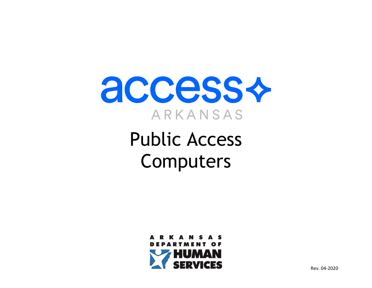

<span id="page-0-0"></span>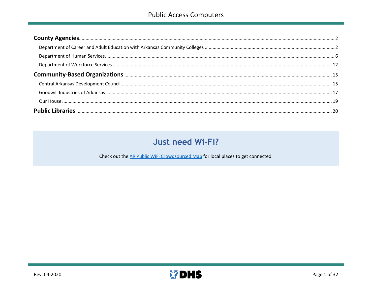# **Just need Wi-Fi?**

Check out the AR Public WiFi Crowdsourced Map for local places to get connected.

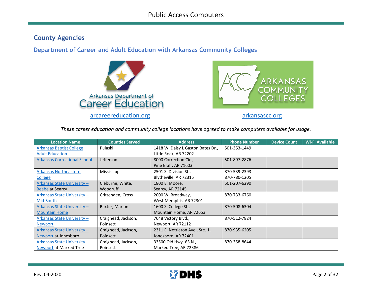## <span id="page-2-0"></span>**County Agencies**

#### <span id="page-2-1"></span>**Department of Career and Adult Education with Arkansas Community Colleges**



*These career education and community college locations have agreed to make computers available for usage.*

| <b>Location Name</b>                | <b>Counties Served</b> | <b>Address</b>                    | <b>Phone Number</b> | <b>Device Count</b> | <b>Wi-Fi Available</b> |
|-------------------------------------|------------------------|-----------------------------------|---------------------|---------------------|------------------------|
| Arkansas Baptist College            | Pulaski                | 1418 W. Daisy L Gaston Bates Dr., | 501-353-1449        |                     |                        |
| <b>Adult Education</b>              |                        | Little Rock, AR 72202             |                     |                     |                        |
| <b>Arkansas Correctional School</b> | Jefferson              | 8000 Correction Cir.,             | 501-897-2876        |                     |                        |
|                                     |                        | Pine Bluff, AR 71603              |                     |                     |                        |
| <b>Arkansas Northeastern</b>        | Mississippi            | 2501 S. Division St.,             | 870-539-2393        |                     |                        |
| <b>College</b>                      |                        | Blytheville, AR 72315             | 870-780-1205        |                     |                        |
| Arkansas State University -         | Cleburne, White,       | 1800 E. Moore,                    | 501-207-6290        |                     |                        |
| Beebe at Searcy                     | Woodruff               | Searcy, AR 72145                  |                     |                     |                        |
| Arkansas State University -         | Crittenden, Cross      | 2000 W. Broadway,                 | 870-733-6760        |                     |                        |
| Mid-South                           |                        | West Memphis, AR 72301            |                     |                     |                        |
| Arkansas State University -         | Baxter, Marion         | 1600 S. College St.,              | 870-508-6304        |                     |                        |
| <b>Mountain Home</b>                |                        | Mountain Home, AR 72653           |                     |                     |                        |
| Arkansas State University -         | Craighead, Jackson,    | 7648 Victory Blvd.,               | 870-512-7824        |                     |                        |
| <b>Newport</b>                      | Poinsett               | Newport, AR 72112                 |                     |                     |                        |
| Arkansas State University -         | Craighead, Jackson,    | 2311 E. Nettleton Ave., Ste. 1,   | 870-935-6205        |                     |                        |
| Newport at Jonesboro                | Poinsett               | Jonesboro, AR 72401               |                     |                     |                        |
| Arkansas State University -         | Craighead, Jackson,    | 33500 Old Hwy. 63 N.,             | 870-358-8644        |                     |                        |
| Newport at Marked Tree              | Poinsett               | Marked Tree, AR 72386             |                     |                     |                        |

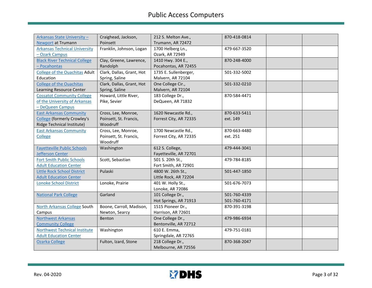| Arkansas State University -           | Craighead, Jackson,       | 212 S. Melton Ave.,    | 870-418-0814 |  |
|---------------------------------------|---------------------------|------------------------|--------------|--|
| <b>Newport at Trumann</b>             | Poinsett                  | Trumann, AR 72472      |              |  |
| <b>Arkansas Technical University</b>  | Franklin, Johnson, Logan  | 1700 Helberg Ln.,      | 479-667-3520 |  |
| - Ozark Campus                        |                           | Ozark, AR 72949        |              |  |
| <b>Black River Technical College</b>  | Clay, Greene, Lawrence,   | 1410 Hwy. 304 E.,      | 870-248-4000 |  |
| - Pocahontas                          | Randolph                  | Pocahontas, AR 72455   |              |  |
| <b>College of the Ouachitas Adult</b> | Clark, Dallas, Grant, Hot | 1735 E. Sullenberger,  | 501-332-5002 |  |
| Education                             | Spring, Saline            | Malvern, AR 72104      |              |  |
| <b>College of the Ouachitas</b>       | Clark, Dallas, Grant, Hot | One College Cir.,      | 501-332-0210 |  |
| Learning Resource Center              | Spring, Saline            | Malvern, AR 72104      |              |  |
| <b>Cossatot Community College</b>     | Howard, Little River,     | 183 College Dr.,       | 870-584-4471 |  |
| of the University of Arkansas         | Pike, Sevier              | DeQueen, AR 71832      |              |  |
| - DeQueen Campus                      |                           |                        |              |  |
| <b>East Arkansas Community</b>        | Cross, Lee, Monroe,       | 1620 Newcastle Rd.,    | 870-633-5411 |  |
| <b>College (formerly Crowley's</b>    | Poinsett, St. Francis,    | Forrest City, AR 72335 | ext. 149     |  |
| Ridge Technical Institute)            | Woodruff                  |                        |              |  |
| <b>East Arkansas Community</b>        | Cross, Lee, Monroe,       | 1700 Newcastle Rd.,    | 870-663-4480 |  |
| College                               | Poinsett, St. Francis,    | Forrest City, AR 72335 | ext. 251     |  |
|                                       | Woodruff                  |                        |              |  |
| <b>Fayetteville Public Schools</b>    | Washington                | 612 S. College,        | 479-444-3041 |  |
| Jefferson Center                      |                           | Fayetteville, AR 72701 |              |  |
| Fort Smith Public Schools             | Scott, Sebastian          | 501 S. 20th St.,       | 479-784-8185 |  |
| <b>Adult Education Center</b>         |                           | Fort Smith, AR 72901   |              |  |
| <b>Little Rock School District</b>    | Pulaski                   | 4800 W. 26th St.,      | 501-447-1850 |  |
| <b>Adult Education Center</b>         |                           | Little Rock, AR 72204  |              |  |
| <b>Lonoke School District</b>         | Lonoke, Prairie           | 401 W. Holly St.,      | 501-676-7073 |  |
|                                       |                           | Lonoke, AR 72086       |              |  |
| <b>National Park College</b>          | Garland                   | 101 College Dr.,       | 501-760-4339 |  |
|                                       |                           | Hot Springs, AR 71913  | 501-760-4171 |  |
| North Arkansas College South          | Boone, Carroll, Madison,  | 1515 Pioneer Dr.,      | 870-391-3198 |  |
| Campus                                | Newton, Searcy            | Harrison, AR 72601     |              |  |
| <b>Northwest Arkansas</b>             | Benton                    | One College Dr.,       | 479-986-6934 |  |
| <b>Community College</b>              |                           | Bentonville, AR 72712  |              |  |
| Northwest Technical Institute         | Washington                | 610 E. Emma,           | 479-751-0181 |  |
| <b>Adult Education Center</b>         |                           | Springdale, AR 72765   |              |  |
| Ozarka College                        | Fulton, Izard, Stone      | 218 College Dr.,       | 870-368-2047 |  |
|                                       |                           | Melbourne, AR 72556    |              |  |

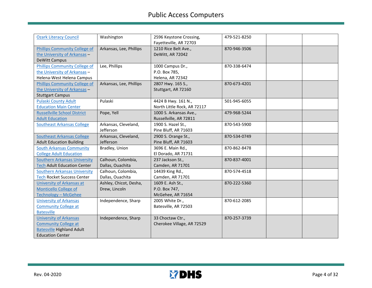| <b>Ozark Literacy Council</b>        | Washington              | 2596 Keystone Crossing,     | 479-521-8250 |  |
|--------------------------------------|-------------------------|-----------------------------|--------------|--|
|                                      |                         | Fayetteville, AR 72703      |              |  |
| Phillips Community College of        | Arkansas, Lee, Phillips | 1210 Rice Belt Ave.,        | 870-946-3506 |  |
| the University of Arkansas -         |                         | DeWitt, AR 72042            |              |  |
| <b>DeWitt Campus</b>                 |                         |                             |              |  |
| <b>Phillips Community College of</b> | Lee, Phillips           | 1000 Campus Dr.,            | 870-338-6474 |  |
| the University of Arkansas -         |                         | P.O. Box 785,               |              |  |
| Helena-West Helena Campus            |                         | Helena, AR 72342            |              |  |
| Phillips Community College of        | Arkansas, Lee, Phillips | 2807 Hwy. 165 S.,           | 870-673-4201 |  |
| the University of Arkansas -         |                         | Stuttgart, AR 72160         |              |  |
| <b>Stuttgart Campus</b>              |                         |                             |              |  |
| <b>Pulaski County Adult</b>          | Pulaski                 | 4424 B Hwy. 161 N.,         | 501-945-6055 |  |
| <b>Education Main Center</b>         |                         | North Little Rock, AR 72117 |              |  |
| <b>Russellville School District</b>  | Pope, Yell              | 1000 S. Arkansas Ave.,      | 479-968-5244 |  |
| <b>Adult Education</b>               |                         | Russellville, AR 72811      |              |  |
| <b>Southeast Arkansas College</b>    | Arkansas, Cleveland,    | 1900 S. Hazel St.,          | 870-543-5900 |  |
|                                      | Jefferson               | Pine Bluff, AR 71603        |              |  |
| <b>Southeast Arkansas College</b>    | Arkansas, Cleveland,    | 2900 S. Orange St.,         | 870-534-0749 |  |
| <b>Adult Education Building</b>      | Jefferson               | Pine Bluff, AR 71603        |              |  |
| <b>South Arkansas Community</b>      | Bradley, Union          | 3696 E. Main Rd.,           | 870-862-8478 |  |
| <b>College Adult Education</b>       |                         | El Dorado, AR 71731         |              |  |
| <b>Southern Arkansas University</b>  | Calhoun, Colombia,      | 237 Jackson St.,            | 870-837-4001 |  |
| <b>Tech Adult Education Center</b>   | Dallas, Ouachita        | Camden, AR 71701            |              |  |
| Southern Arkansas University         | Calhoun, Colombia,      | 14439 King Rd.,             | 870-574-4518 |  |
| <b>Tech Rocket Success Center</b>    | Dallas, Ouachita        | Camden, AR 71701            |              |  |
| University of Arkansas at            | Ashley, Chicot, Desha,  | 1609 E. Ash St.,            | 870-222-5360 |  |
| Monticello College of                | Drew, Lincoln           | P.O. Box 747,               |              |  |
| Technology - McGehee                 |                         | McGehee, AR 71654           |              |  |
| <b>University of Arkansas</b>        | Independence, Sharp     | 2005 White Dr.,             | 870-612-2085 |  |
| <b>Community College at</b>          |                         | Batesville, AR 72503        |              |  |
| <b>Batesville</b>                    |                         |                             |              |  |
| <b>University of Arkansas</b>        | Independence, Sharp     | 33 Choctaw Ctr.,            | 870-257-3739 |  |
| <b>Community College at</b>          |                         | Cherokee Village, AR 72529  |              |  |
| <b>Batesville Highland Adult</b>     |                         |                             |              |  |
| <b>Education Center</b>              |                         |                             |              |  |

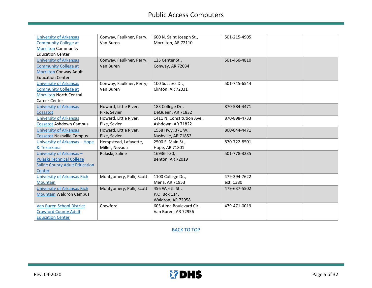| <b>University of Arkansas</b>        | Conway, Faulkner, Perry, | 600 N. Saint Joseph St.,   | 501-215-4905 |  |
|--------------------------------------|--------------------------|----------------------------|--------------|--|
| <b>Community College at</b>          | Van Buren                | Morrilton, AR 72110        |              |  |
| <b>Morrilton Community</b>           |                          |                            |              |  |
| <b>Education Center</b>              |                          |                            |              |  |
| <b>University of Arkansas</b>        | Conway, Faulkner, Perry, | 125 Center St.,            | 501-450-4810 |  |
| <b>Community College at</b>          | Van Buren                | Conway, AR 72034           |              |  |
| <b>Morrilton Conway Adult</b>        |                          |                            |              |  |
| <b>Education Center</b>              |                          |                            |              |  |
| <b>University of Arkansas</b>        | Conway, Faulkner, Perry, | 100 Success Dr.,           | 501-745-6544 |  |
| <b>Community College at</b>          | Van Buren                | Clinton, AR 72031          |              |  |
| <b>Morrilton North Central</b>       |                          |                            |              |  |
| Career Center                        |                          |                            |              |  |
| <b>University of Arkansas</b>        | Howard, Little River,    | 183 College Dr.,           | 870-584-4471 |  |
| Cossatot                             | Pike, Sevier             | DeQueen, AR 71832          |              |  |
| <b>University of Arkansas</b>        | Howard, Little River,    | 1411 N. Constitution Ave., | 870-898-4733 |  |
| <b>Cossatot Ashdown Campus</b>       | Pike, Sevier             | Ashdown, AR 71822          |              |  |
| <b>University of Arkansas</b>        | Howard, Little River,    | 1558 Hwy. 371 W.,          | 800-844-4471 |  |
| <b>Cossatot Nashville Campus</b>     | Pike, Sevier             | Nashville, AR 71852        |              |  |
| University of Arkansas - Hope        | Hempstead, Lafayette,    | 2500 S. Main St.,          | 870-722-8501 |  |
| & Texarkana                          | Miller, Nevada           | Hope, AR 71801             |              |  |
| University of Arkansas -             | Pulaski, Saline          | 16936 I-30,                | 501-778-3235 |  |
| <b>Pulaski Technical College</b>     |                          | Benton, AR 72019           |              |  |
| <b>Saline County Adult Education</b> |                          |                            |              |  |
| <b>Center</b>                        |                          |                            |              |  |
| <b>University of Arkansas Rich</b>   | Montgomery, Polk, Scott  | 1100 College Dr.,          | 479-394-7622 |  |
| <b>Mountain</b>                      |                          | Mena, AR 71953             | ext. 1380    |  |
| <b>University of Arkansas Rich</b>   | Montgomery, Polk, Scott  | 456 W. 6th St.,            | 479-637-5502 |  |
| <b>Mountain Waldron Campus</b>       |                          | P.O. Box 114,              |              |  |
|                                      |                          | Waldron, AR 72958          |              |  |
| Van Buren School District            | Crawford                 | 605 Alma Boulevard Cir.,   | 479-471-0019 |  |
| <b>Crawford County Adult</b>         |                          | Van Buren, AR 72956        |              |  |
| <b>Education Center</b>              |                          |                            |              |  |

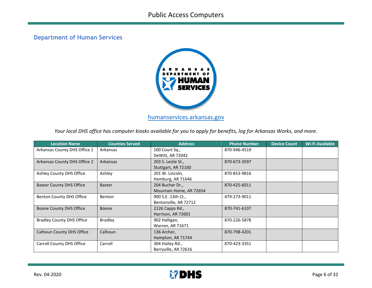### <span id="page-6-0"></span>**Department of Human Services**



*Your local DHS office has computer kiosks available for you to apply for benefits, log for Arkansas Works, and more.*

| <b>Location Name</b>             | <b>Counties Served</b> | <b>Address</b>          | <b>Phone Number</b> | <b>Device Count</b> | <b>Wi-Fi Available</b> |
|----------------------------------|------------------------|-------------------------|---------------------|---------------------|------------------------|
| Arkansas County DHS Office 1     | Arkansas               | 100 Court Sq.,          | 870-946-4519        |                     |                        |
|                                  |                        | DeWitt, AR 72042        |                     |                     |                        |
| Arkansas County DHS Office 2     | Arkansas               | 203 S. Leslie St.,      | 870-673-3597        |                     |                        |
|                                  |                        | Stuttgart, AR 72160     |                     |                     |                        |
| Ashley County DHS Office         | Ashley                 | 201 W. Lincoln,         | 870-853-9816        |                     |                        |
|                                  |                        | Hamburg, AR 71646       |                     |                     |                        |
| <b>Baxter County DHS Office</b>  | <b>Baxter</b>          | 204 Bucher Dr.,         | 870-425-6011        |                     |                        |
|                                  |                        | Mountain Home, AR 72654 |                     |                     |                        |
| Benton County DHS Office         | Benton                 | 900 S.E. 13th Ct.,      | 479-273-9011        |                     |                        |
|                                  |                        | Bentonville, AR 72712   |                     |                     |                        |
| Boone County DHS Office          | <b>Boone</b>           | 2126 Capps Rd.,         | 870-741-6107        |                     |                        |
|                                  |                        | Harrison, AR 72601      |                     |                     |                        |
| <b>Bradley County DHS Office</b> | <b>Bradley</b>         | 902 Halligan,           | 870-226-5878        |                     |                        |
|                                  |                        | Warren, AR 71671        |                     |                     |                        |
| Calhoun County DHS Office        | Calhoun                | 136 Archer,             | 870-798-4201        |                     |                        |
|                                  |                        | Hampton, AR 71744       |                     |                     |                        |
| Carroll County DHS Office        | Carroll                | 304 Hailey Rd.,         | 870-423-3351        |                     |                        |
|                                  |                        | Berryville, AR 72616    |                     |                     |                        |

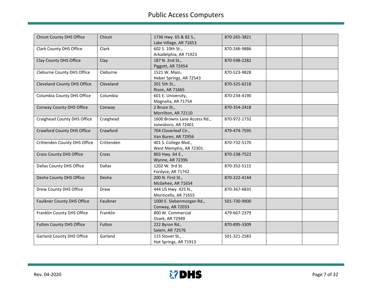| <b>Chicot County DHS Office</b>    | Chicot        | 1736 Hwy. 65 & 82 S.,<br>Lake Village, AR 71653     | 870-265-3821 |  |
|------------------------------------|---------------|-----------------------------------------------------|--------------|--|
| <b>Clark County DHS Office</b>     | Clark         | 602 S. 10th St.,<br>Arkadelphia, AR 71923           | 870-246-9886 |  |
| Clay County DHS Office             | Clay          | 187 N. 2nd St.,<br>Piggott, AR 72454                | 870-598-2282 |  |
| Cleburne County DHS Office         | Cleburne      | 1521 W. Main,<br>Heber Springs, AR 72543            | 870-523-9828 |  |
| <b>Cleveland County DHS Office</b> | Cleveland     | 201 5th St.,<br>Rison, AR 71665                     | 870-325-6218 |  |
| Columbia County DHS Office         | Columbia      | 601 E. University,<br>Magnolia, AR 71754            | 870-234-4190 |  |
| Conway County DHS Office           | Conway        | 2 Bruce St.,<br>Morrilton, AR 72110                 | 870-354-2418 |  |
| Craighead County DHS Office        | Craighead     | 1600 Browns Lane Access Rd.,<br>Jonesboro, AR 72401 | 870-972-1732 |  |
| Crawford County DHS Office         | Crawford      | 704 Cloverleaf Cir.,<br>Van Buren, AR 72956         | 479-474-7595 |  |
| Crittenden County DHS Office       | Crittenden    | 401 S. College Blvd.,<br>West Memphis, AR 72301     | 870-732-5170 |  |
| <b>Cross County DHS Office</b>     | Cross         | 803 Hwy. 64 E.,<br>Wynne, AR 72396                  | 870-238-7522 |  |
| Dallas County DHS Office           | <b>Dallas</b> | 1202 W. 3rd St<br>Fordyce, AR 71742                 | 870-352-5115 |  |
| Desha County DHS Office            | Desha         | 200 N. First St.,<br>McGehee, AR 71654              | 870-222-4144 |  |
| Drew County DHS Office             | Drew          | 444 US Hwy. 425 N.,<br>Monticello, AR 71655         | 870-367-6835 |  |
| <b>Faulkner County DHS Office</b>  | Faulkner      | 1000 E. Siebenmorgan Rd.,<br>Conway, AR 72033       | 501-730-9900 |  |
| Franklin County DHS Office         | Franklin      | 800 W. Commercial<br>Ozark, AR 72949                | 479-667-2379 |  |
| Fulton County DHS Office           | Fulton        | 222 Byron Rd.,<br>Salem, AR 72576                   | 870-895-3309 |  |
| <b>Garland County DHS Office</b>   | Garland       | 115 Stover St.,<br>Hot Springs, AR 71913            | 501-321-2583 |  |

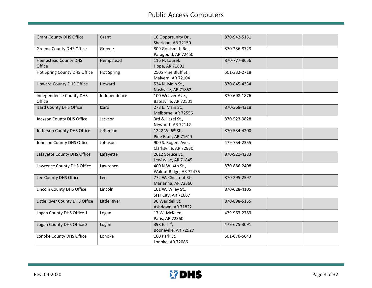| <b>Grant County DHS Office</b>           | Grant             | 16 Opportunity Dr.,<br>Sheridan, AR 72150            | 870-942-5151 |  |
|------------------------------------------|-------------------|------------------------------------------------------|--------------|--|
| Greene County DHS Office                 | Greene            | 809 Goldsmith Rd.,<br>Paragould, AR 72450            | 870-236-8723 |  |
| <b>Hempstead County DHS</b><br>Office    | Hempstead         | 116 N. Laurel,<br>Hope, AR 71801                     | 870-777-8656 |  |
| Hot Spring County DHS Office             | <b>Hot Spring</b> | 2505 Pine Bluff St.,<br>Malvern, AR 72104            | 501-332-2718 |  |
| <b>Howard County DHS Office</b>          | Howard            | 534 N. Main St.,<br>Nashville, AR 71852              | 870-845-4334 |  |
| <b>Independence County DHS</b><br>Office | Independence      | 100 Weaver Ave.,<br>Batesville, AR 72501             | 870-698-1876 |  |
| Izard County DHS Office                  | Izard             | 278 E. Main St.,<br>Melborne, AR 72556               | 870-368-4318 |  |
| Jackson County DHS Office                | Jackson           | 3rd & Hazel St.,<br>Newport, AR 72112                | 870-523-9828 |  |
| Jefferson County DHS Office              | Jefferson         | 1222 W. 6 <sup>th</sup> St.,<br>Pine Bluff, AR 71611 | 870-534-4200 |  |
| Johnson County DHS Office                | Johnson           | 900 S. Rogers Ave.,<br>Clarksville, AR 72830         | 479-754-2355 |  |
| Lafayette County DHS Office              | Lafayette         | 2612 Spruce St.,<br>Lewisville, AR 71845             | 870-921-4283 |  |
| Lawrence County DHS Office               | Lawrence          | 400 N.W. 4th St.,<br>Walnut Ridge, AR 72476          | 870-886-2408 |  |
| Lee County DHS Office                    | Lee               | 772 W. Chestnut St.,<br>Marianna, AR 72360           | 870-295-2597 |  |
| Lincoln County DHS Office                | Lincoln           | 101 W. Wiley St.,<br>Star City, AR 71667             | 870-628-4105 |  |
| Little River County DHS Office           | Little River      | 90 Waddell St,<br>Ashdown, AR 71822                  | 870-898-5155 |  |
| Logan County DHS Office 1                | Logan             | 17 W. McKeen,<br>Paris, AR 72360                     | 479-963-2783 |  |
| Logan County DHS Office 2                | Logan             | 398 E. 2 <sup>nd</sup> ,<br>Booneville, AR 72927     | 479-675-3091 |  |
| Lonoke County DHS Office                 | Lonoke            | 100 Park St,<br>Lonoke, AR 72086                     | 501-676-5643 |  |

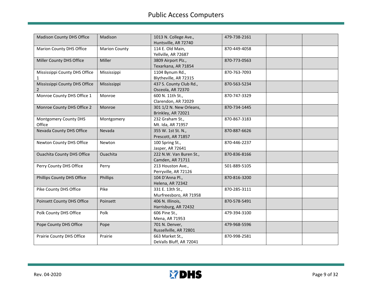| Madison County DHS Office         | Madison              | 1013 N. College Ave.,<br>Huntsville, AR 72740 | 479-738-2161 |  |
|-----------------------------------|----------------------|-----------------------------------------------|--------------|--|
| Marion County DHS Office          | <b>Marion County</b> | 114 E. Old Main,                              | 870-449-4058 |  |
|                                   |                      | Yellville, AR 72687                           |              |  |
| Miller County DHS Office          | Miller               | 3809 Airport Plz.,                            | 870-773-0563 |  |
|                                   |                      | Texarkana, AR 71854                           |              |  |
| Mississippi County DHS Office     | Mississippi          | 1104 Bynum Rd.,                               | 870-763-7093 |  |
|                                   |                      | Blytheville, AR 72315                         |              |  |
| Mississippi County DHS Office     | Mississippi          | 437 S. County Club Rd.,                       | 870-563-5234 |  |
| $\overline{2}$                    |                      | Osceola, AR 72370                             |              |  |
| Monroe County DHS Office 1        | Monroe               | 600 N. 11th St.,                              | 870-747-3329 |  |
|                                   |                      | Clarendon, AR 72029                           |              |  |
| Monroe County DHS Office 2        | Monroe               | 301 1/2 N. New Orleans,                       | 870-734-1445 |  |
|                                   |                      | Brinkley, AR 72021                            |              |  |
| Montgomery County DHS             | Montgomery           | 232 Graham St.,                               | 870-867-3183 |  |
| Office                            |                      | Mt. Ida, AR 71957                             |              |  |
| Nevada County DHS Office          | Nevada               | 355 W. 1st St. N.,                            | 870-887-6626 |  |
|                                   |                      | Prescott, AR 71857                            |              |  |
| Newton County DHS Office          | Newton               | 100 Spring St.,                               | 870-446-2237 |  |
|                                   |                      | Jasper, AR 72641                              |              |  |
| <b>Ouachita County DHS Office</b> | <b>Ouachita</b>      | 222 N.W. Van Buren St.,                       | 870-836-8166 |  |
|                                   |                      | Camden, AR 71711                              |              |  |
| Perry County DHS Office           | Perry                | 213 Houston Ave.,                             | 501-889-5105 |  |
|                                   |                      | Perryville, AR 72126                          |              |  |
| Phillips County DHS Office        | Phillips             | 104 D'Anna Pl.,                               | 870-816-3200 |  |
|                                   |                      | Helena, AR 72342                              |              |  |
| Pike County DHS Office            | Pike                 | 331 E. 13th St.,                              | 870-285-3111 |  |
|                                   |                      | Murfreesboro, AR 71958                        |              |  |
| Poinsett County DHS Office        | Poinsett             | 406 N. Illinois,                              | 870-578-5491 |  |
|                                   |                      | Harrisburg, AR 72432                          |              |  |
| Polk County DHS Office            | Polk                 | 606 Pine St.,                                 | 479-394-3100 |  |
|                                   |                      | Mena, AR 71953                                |              |  |
| Pope County DHS Office            | Pope                 | 701 N. Denver,                                | 479-968-5596 |  |
|                                   |                      | Russellville, AR 72801                        |              |  |
| Prairie County DHS Office         | Prairie              | 663 Market St.,                               | 870-998-2581 |  |
|                                   |                      | DeValls Bluff, AR 72041                       |              |  |

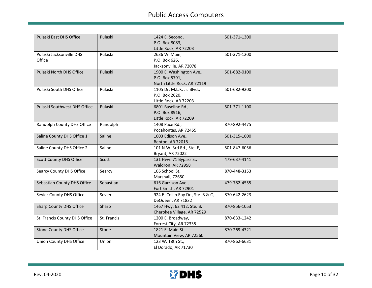| Pulaski East DHS Office            | Pulaski     | 1424 E. Second,<br>P.O. Box 8083,<br>Little Rock, AR 72203                | 501-371-1300 |  |
|------------------------------------|-------------|---------------------------------------------------------------------------|--------------|--|
| Pulaski Jacksonville DHS<br>Office | Pulaski     | 2636 W. Main,<br>P.O. Box 626,<br>Jacksonville, AR 72078                  | 501-371-1200 |  |
| Pulaski North DHS Office           | Pulaski     | 1900 E. Washington Ave.,<br>P.O. Box 5791,<br>North Little Rock, AR 72119 | 501-682-0100 |  |
| Pulaski South DHS Office           | Pulaski     | 1105 Dr. M.L.K. Jr. Blvd.,<br>P.O. Box 2620,<br>Little Rock, AR 72203     | 501-682-9200 |  |
| Pulaski Southwest DHS Office       | Pulaski     | 6801 Baseline Rd.,<br>P.O. Box 8916,<br>Little Rock, AR 72209             | 501-371-1100 |  |
| Randolph County DHS Office         | Randolph    | 1408 Pace Rd.,<br>Pocahontas, AR 72455                                    | 870-892-4475 |  |
| Saline County DHS Office 1         | Saline      | 1603 Edison Ave.,<br>Benton, AR 72018                                     | 501-315-1600 |  |
| Saline County DHS Office 2         | Saline      | 101 N.W. 3rd Rd., Ste. E,<br>Bryant, AR 72022                             | 501-847-6056 |  |
| <b>Scott County DHS Office</b>     | Scott       | 131 Hwy. 71 Bypass S.,<br>Waldron, AR 72958                               | 479-637-4141 |  |
| Searcy County DHS Office           | Searcy      | 106 School St.,<br>Marshall, 72650                                        | 870-448-3153 |  |
| Sebastian County DHS Office        | Sebastian   | 616 Garrison Ave.,<br>Fort Smith, AR 72901                                | 479-782-4555 |  |
| Sevier County DHS Office           | Sevier      | 924 E. Collin Ray Dr., Ste. B & C,<br>DeQueen, AR 71832                   | 870-642-2623 |  |
| <b>Sharp County DHS Office</b>     | Sharp       | 1467 Hwy. 62 412, Ste. B,<br>Cherokee Village, AR 72529                   | 870-856-1053 |  |
| St. Francis County DHS Office      | St. Francis | 1200 E. Broadway,<br>Forrest City, AR 72335                               | 870-633-1242 |  |
| <b>Stone County DHS Office</b>     | Stone       | 1821 E. Main St.,<br>Mountain View, AR 72560                              | 870-269-4321 |  |
| Union County DHS Office            | Union       | 123 W. 18th St.,<br>El Dorado, AR 71730                                   | 870-862-6631 |  |

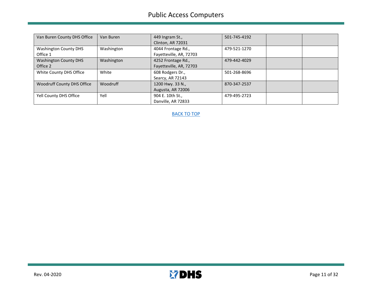| Van Buren County DHS Office              | Van Buren  | 449 Ingram St.,<br>Clinton, AR 72031          | 501-745-4192 |  |
|------------------------------------------|------------|-----------------------------------------------|--------------|--|
| <b>Washington County DHS</b><br>Office 1 | Washington | 4044 Frontage Rd.,<br>Fayetteville, AR, 72703 | 479-521-1270 |  |
| <b>Washington County DHS</b><br>Office 2 | Washington | 4252 Frontage Rd.,<br>Fayetteville, AR, 72703 | 479-442-4029 |  |
| White County DHS Office                  | White      | 608 Rodgers Dr.,<br>Searcy, AR 72143          | 501-268-8696 |  |
| Woodruff County DHS Office               | Woodruff   | 1200 Hwy. 33 N.,<br>Augusta, AR 72006         | 870-347-2537 |  |
| Yell County DHS Office                   | Yell       | 904 E. 10th St.,<br>Danville, AR 72833        | 479-495-2723 |  |



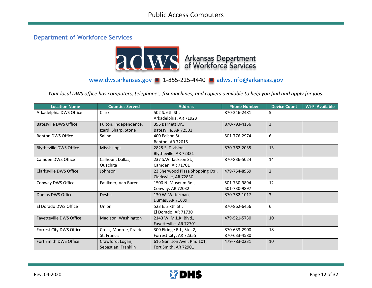#### <span id="page-12-0"></span>**Department of Workforce Services**



[www.dws.arkansas.gov](http://www.dws.arkansas.gov/) 1-855-225-4440 [adws.info@arkansas.gov](mailto:adws.info@arkansas.gov)

*Your local DWS office has computers, telephones, fax machines, and copiers available to help you find and apply for jobs.*

| <b>Location Name</b>          | <b>Counties Served</b>  | <b>Address</b>                   | <b>Phone Number</b> | <b>Device Count</b> | <b>Wi-Fi Available</b> |
|-------------------------------|-------------------------|----------------------------------|---------------------|---------------------|------------------------|
| Arkadelphia DWS Office        | Clark                   | 502 S. 6th St.,                  | 870-246-2481        | 5                   |                        |
|                               |                         | Arkadelphia, AR 71923            |                     |                     |                        |
| <b>Batesville DWS Office</b>  | Fulton, Independence,   | 396 Barnett Dr.,                 | 870-793-4156        | 3                   |                        |
|                               | Izard, Sharp, Stone     | Batesville, AR 72501             |                     |                     |                        |
| Benton DWS Office             | Saline                  | 400 Edison St.,                  | 501-776-2974        | 6                   |                        |
|                               |                         | Benton, AR 72015                 |                     |                     |                        |
| <b>Blytheville DWS Office</b> | Mississippi             | 2825 S. Division,                | 870-762-2035        | 13                  |                        |
|                               |                         | Blytheville, AR 72321            |                     |                     |                        |
| Camden DWS Office             | Calhoun, Dallas,        | 237 S.W. Jackson St.,            | 870-836-5024        | 14                  |                        |
|                               | <b>Ouachita</b>         | Camden, AR 71701                 |                     |                     |                        |
| Clarksville DWS Office        | Johnson                 | 23 Sherwood Plaza Shopping Ctr., | 479-754-8969        | $\overline{2}$      |                        |
|                               |                         | Clarksville, AR 72830            |                     |                     |                        |
| Conway DWS Office             | Faulkner, Van Buren     | 1500 N. Museum Rd.,              | 501-730-9894        | 12                  |                        |
|                               |                         | Conway, AR 72032                 | 501-730-9897        |                     |                        |
| Dumas DWS Office              | Desha                   | 130 W. Waterman,                 | 870-382-1017        | 3                   |                        |
|                               |                         | Dumas, AR 71639                  |                     |                     |                        |
| El Dorado DWS Office          | Union                   | 523 E. Sixth St.,                | 870-862-6456        | 6                   |                        |
|                               |                         | El Dorado, AR 71730              |                     |                     |                        |
| Fayetteville DWS Office       | Madison, Washington     | 2143 W. M.L.K. Blvd.,            | 479-521-5730        | 10                  |                        |
|                               |                         | Fayetteville, AR 72701           |                     |                     |                        |
| Forrest City DWS Office       | Cross, Monroe, Prairie, | 300 Elridge Rd., Ste. 2,         | 870-633-2900        | 18                  |                        |
|                               | St. Francis             | Forrest City, AR 72355           | 870-633-4580        |                     |                        |
| Fort Smith DWS Office         | Crawford, Logan,        | 616 Garrison Ave., Rm. 101,      | 479-783-0231        | 10                  |                        |
|                               | Sebastian, Franklin     | Fort Smith, AR 72901             |                     |                     |                        |

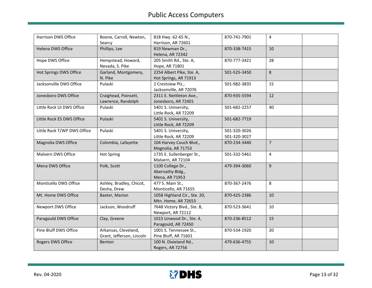| Harrison DWS Office         | Boone, Carroll, Newton,   | 818 Hwy. 62-65 N.,           | 870-741-7901 | 4              |  |
|-----------------------------|---------------------------|------------------------------|--------------|----------------|--|
|                             | Searcy                    | Harrison, AR 72601           |              |                |  |
| Helena DWS Office           | Phillips, Lee             | 819 Newman Dr.,              | 870-338-7415 | 10             |  |
|                             |                           | Helena, AR 72342             |              |                |  |
| Hope DWS Office             | Hempstead, Howard,        | 205 Smith Rd., Ste. A,       | 870-777-3421 | 28             |  |
|                             | Nevada, S. Pike           | Hope, AR 71801               |              |                |  |
| Hot Springs DWS Office      | Garland, Montgomery,      | 2254 Albert Pike, Ste. A,    | 501-525-3450 | 8              |  |
|                             | N. Pike                   | Hot Springs, AR 71913        |              |                |  |
| Jacksonville DWS Office     | Pulaski                   | 2 Crestview Plz.,            | 501-982-3835 | 15             |  |
|                             |                           | Jacksonville, AR 72076       |              |                |  |
| Jonesboro DWS Office        | Craighead, Poinsett,      | 2311 E. Nettleton Ave.,      | 870-935-5594 | 12             |  |
|                             | Lawrence, Randolph        | Jonesboro, AR 72401          |              |                |  |
| Little Rock UI DWS Office   | Pulaski                   | 5401 S. University,          | 501-682-2257 | 40             |  |
|                             |                           | Little Rock, AR 72209        |              |                |  |
| Little Rock ES DWS Office   | Pulaski                   | 5401 S. University,          | 501-682-7719 |                |  |
|                             |                           | Little Rock, AR 72209        |              |                |  |
| Little Rock T/WP DWS Office |                           |                              |              |                |  |
|                             | Pulaski                   | 5401 S. University,          | 501-320-3026 |                |  |
|                             |                           | Little Rock, AR 72209        | 501-320-3027 |                |  |
| Magnolia DWS Office         | Colombia, Lafayette       | 104 Harvey Couch Blvd.,      | 870-234-3440 | $\overline{7}$ |  |
|                             |                           | Magnolia, AR 71753           |              |                |  |
| Malvern DWS Office          | <b>Hot Spring</b>         | 1735 E. Sullenberger St.,    | 501-332-5461 | 4              |  |
|                             |                           | Malvern, AR 72104            |              |                |  |
| Mena DWS Office             | Polk, Scott               | 1100 College Dr.,            | 479-394-3060 | 9              |  |
|                             |                           | Abernathy Bldg.,             |              |                |  |
|                             |                           | Mena, AR 71953               |              |                |  |
| Monticello DWS Office       | Ashley, Bradley, Chicot,  | 477 S. Main St.,             | 870-367-2476 | 8              |  |
|                             | Desha, Drew               | Monticello, AR 71655         |              |                |  |
| Mt. Home DWS Office         | Baxter, Marion            | 1058 Highland Cir., Ste. 20, | 870-425-2386 | 10             |  |
|                             |                           | Mtn. Home, AR 72653          |              |                |  |
| Newport DWS Office          | Jackson, Woodruff         | 7648 Victory Blvd., Ste. B,  | 870-523-3641 | 10             |  |
|                             |                           | Newport, AR 72112            |              |                |  |
| Paragould DWS Office        | Clay, Greene              | 1015 Linwood Dr., Ste. 4,    | 870-236-8512 | 15             |  |
|                             |                           | Paragould, AR 72450          |              |                |  |
| Pine Bluff DWS Office       | Arkansas, Cleveland,      | 1001 S. Tennessee St.,       | 870-534-1920 | 20             |  |
|                             | Grant, Jefferson, Lincoln | Pine Bluff, AR 71601         |              |                |  |
|                             |                           |                              |              |                |  |
| Rogers DWS Office           | <b>Benton</b>             | 100 N. Dixieland Rd.,        | 479-636-4755 | 10             |  |
|                             |                           | Rogers, AR 72756             |              |                |  |

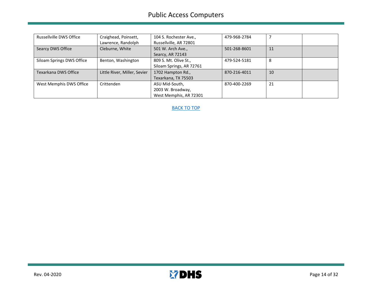| Russellville DWS Office   | Craighead, Poinsett,         | 104 S. Rochester Ave.,   | 479-968-2784 |    |  |
|---------------------------|------------------------------|--------------------------|--------------|----|--|
|                           | Lawrence, Randolph           | Russellville, AR 72801   |              |    |  |
| Searcy DWS Office         | Cleburne, White              | 501 W. Arch Ave.,        | 501-268-8601 | 11 |  |
|                           |                              | Searcy, AR 72143         |              |    |  |
| Siloam Springs DWS Office | Benton, Washington           | 809 S. Mt. Olive St.,    | 479-524-5181 | 8  |  |
|                           |                              | Siloam Springs, AR 72761 |              |    |  |
| Texarkana DWS Office      | Little River, Miller, Sevier | 1702 Hampton Rd.,        | 870-216-4011 | 10 |  |
|                           |                              | Texarkana, TX 75503      |              |    |  |
| West Memphis DWS Office   | Crittenden                   | ASU Mid-South,           | 870-400-2269 | 21 |  |
|                           |                              | 2003 W. Broadway,        |              |    |  |
|                           |                              | West Memphis, AR 72301   |              |    |  |



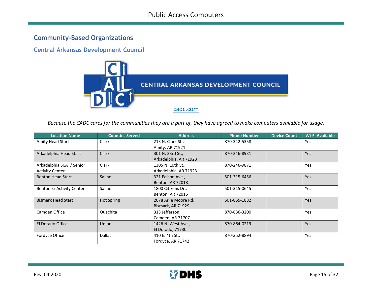## <span id="page-15-0"></span>**Community-Based Organizations**

<span id="page-15-1"></span>**Central Arkansas Development Council**



*Because the CADC cares for the communities they are a part of, they have agreed to make computers available for usage.*

| <b>Location Name</b>      | <b>Counties Served</b> | <b>Address</b>        | <b>Phone Number</b> | <b>Device Count</b> | <b>Wi-Fi Available</b> |
|---------------------------|------------------------|-----------------------|---------------------|---------------------|------------------------|
| Amity Head Start          | Clark                  | 213 N. Clark St.,     | 870-342-5358        |                     | Yes                    |
|                           |                        | Amity, AR 71921       |                     |                     |                        |
| Arkadelphia Head Start    | <b>Clark</b>           | 301 N. 23rd St.,      | 870-246-8931        |                     | <b>Yes</b>             |
|                           |                        | Arkadelphia, AR 71923 |                     |                     |                        |
| Arkadelphia SCAT/ Senior  | Clark                  | 1305 N. 10th St.,     | 870-246-9871        |                     | Yes                    |
| <b>Activity Center</b>    |                        | Arkadelphia, AR 71923 |                     |                     |                        |
| <b>Benton Head Start</b>  | Saline                 | 321 Edison Ave.,      | 501-315-6456        |                     | <b>Yes</b>             |
|                           |                        | Benton, AR 72018      |                     |                     |                        |
| Benton Sr Activity Center | Saline                 | 1800 Citizens Dr.,    | 501-315-0645        |                     | Yes                    |
|                           |                        | Benton, AR 72015      |                     |                     |                        |
| <b>Bismark Head Start</b> | Hot Spring             | 2078 Arlie Moore Rd., | 501-865-1882        |                     | <b>Yes</b>             |
|                           |                        | Bismark, AR 71929     |                     |                     |                        |
| Camden Office             | <b>Ouachita</b>        | 313 Jefferson,        | 870-836-3200        |                     | Yes                    |
|                           |                        | Camden, AR 71707      |                     |                     |                        |
| El Dorado Office          | Union                  | 1426 N. West Ave.,    | 870-864-0219        |                     | <b>Yes</b>             |
|                           |                        | El Dorado, 71730      |                     |                     |                        |
| Fordyce Office            | <b>Dallas</b>          | 410 E. 4th St.,       | 870-352-8894        |                     | Yes                    |
|                           |                        | Fordyce, AR 71742     |                     |                     |                        |

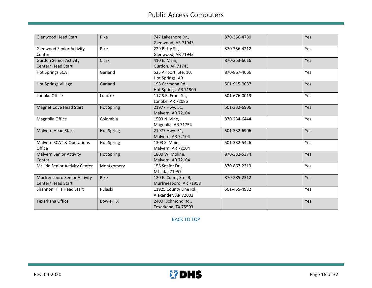| <b>Glenwood Head Start</b>                         | Pike              | 747 Lakeshore Dr.,<br>Glenwood, AR 71943        | 870-356-4780 | Yes |
|----------------------------------------------------|-------------------|-------------------------------------------------|--------------|-----|
| <b>Glenwood Senior Activity</b><br>Center          | Pike              | 229 Betty St.,<br>Glenwood, AR 71943            | 870-356-4212 | Yes |
| <b>Gurdon Senior Activity</b><br>Center/Head Start | Clark             | 410 E. Main,<br>Gurdon, AR 71743                | 870-353-6616 | Yes |
| <b>Hot Springs SCAT</b>                            | Garland           | 525 Airport, Ste. 10,<br>Hot Springs, AR        | 870-867-4666 | Yes |
| <b>Hot Springs Village</b>                         | Garland           | 198 Carmona Rd.,<br>Hot Springs, AR 71909       | 501-915-0087 | Yes |
| Lonoke Office                                      | Lonoke            | 117 S.E. Front St.,<br>Lonoke, AR 72086         | 501-676-0019 | Yes |
| Magnet Cove Head Start                             | <b>Hot Spring</b> | 21977 Hwy. 51,<br>Malvern, AR 72104             | 501-332-6906 | Yes |
| Magnolia Office                                    | Colombia          | 1503 N. Vine,<br>Magnolia, AR 71754             | 870-234-6444 | Yes |
| <b>Malvern Head Start</b>                          | <b>Hot Spring</b> | 21977 Hwy. 51,<br>Malvern, AR 72104             | 501-332-6906 | Yes |
| Malvern SCAT & Operations<br>Office                | <b>Hot Spring</b> | 1303 S. Main,<br>Malvern, AR 72104              | 501-332-5426 | Yes |
| <b>Malvern Senior Activity</b><br>Center           | <b>Hot Spring</b> | 1800 W. Moline,<br>Malvern, AR 72104            | 870-332-5374 | Yes |
| Mt. Ida Senior Activity Center                     | Montgomery        | 156 Senior Dr.,<br>Mt. Ida, 71957               | 870-867-2313 | Yes |
| Murfreesboro Senior Activity<br>Center/ Head Start | Pike              | 120 E. Court, Ste. B,<br>Murfreesboro, AR 71958 | 870-285-2312 | Yes |
| Shannon Hills Head Start                           | Pulaski           | 11925 County Line Rd.,<br>Alexander, AR 72002   | 501-455-4932 | Yes |
| Texarkana Office                                   | Bowie, TX         | 2400 Richmond Rd.,<br>Texarkana, TX 75503       |              | Yes |

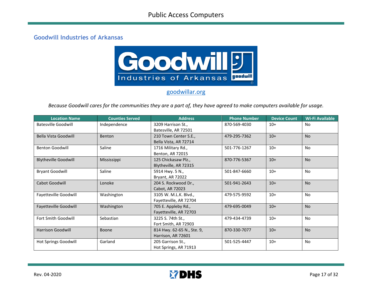#### <span id="page-17-0"></span>**Goodwill Industries of Arkansas**



[goodwillar.org](https://goodwillar.org/)

*Because Goodwill cares for the communities they are a part of, they have agreed to make computers available for usage.*

| <b>Location Name</b>         | <b>Counties Served</b> | <b>Address</b>             | <b>Phone Number</b> | <b>Device Count</b> | <b>Wi-Fi Available</b> |
|------------------------------|------------------------|----------------------------|---------------------|---------------------|------------------------|
| <b>Batesville Goodwill</b>   | Independence           | 3209 Harrison St.,         | 870-569-4030        | $10+$               | No.                    |
|                              |                        | Batesville, AR 72501       |                     |                     |                        |
| Bella Vista Goodwill         | <b>Benton</b>          | 210 Town Center S.E.,      | 479-295-7362        | $10+$               | <b>No</b>              |
|                              |                        | Bella Vista, AR 72714      |                     |                     |                        |
| <b>Benton Goodwill</b>       | Saline                 | 1716 Military Rd.,         | 501-776-1267        | $10+$               | No.                    |
|                              |                        | Benton, AR 72015           |                     |                     |                        |
| <b>Blytheville Goodwill</b>  | Mississippi            | 125 Chickasaw Plz.,        | 870-776-5367        | $10+$               | <b>No</b>              |
|                              |                        | Blytheville, AR 72315      |                     |                     |                        |
| <b>Bryant Goodwill</b>       | Saline                 | 5914 Hwy. 5 N.,            | 501-847-6660        | $10+$               | <b>No</b>              |
|                              |                        | Bryant, AR 72022           |                     |                     |                        |
| Cabot Goodwill               | Lonoke                 | 204 S. Rockwood Dr.,       | 501-941-2643        | $10+$               | <b>No</b>              |
|                              |                        | Cabot, AR 72023            |                     |                     |                        |
| Fayetteville Goodwill        | Washington             | 3105 W. M.L.K. Blvd.,      | 479-575-9592        | $10+$               | No                     |
|                              |                        | Fayetteville, AR 72704     |                     |                     |                        |
| <b>Fayetteville Goodwill</b> | Washington             | 705 E. Appleby Rd.,        | 479-695-0049        | $10+$               | <b>No</b>              |
|                              |                        | Fayetteville, AR 72703     |                     |                     |                        |
| Fort Smith Goodwill          | Sebastian              | 3225 S. 74th St.,          | 479-434-4739        | $10+$               | No                     |
|                              |                        | Fort Smith, AR 72903       |                     |                     |                        |
| <b>Harrison Goodwill</b>     | Boone                  | 814 Hwy. 62-65 N., Ste. 9, | 870-330-7077        | $10+$               | <b>No</b>              |
|                              |                        | Harrison, AR 72601         |                     |                     |                        |
| <b>Hot Springs Goodwill</b>  | Garland                | 205 Garrison St.,          | 501-525-4447        | $10+$               | <b>No</b>              |
|                              |                        | Hot Springs, AR 71913      |                     |                     |                        |

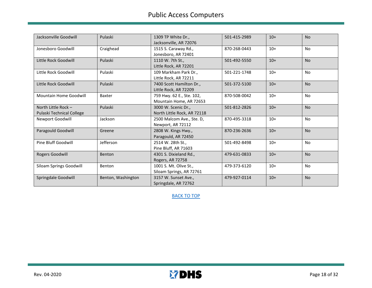| Jacksonville Goodwill                              | Pulaski            | 1309 TP White Dr.,<br>Jacksonville, AR 72076         | 501-415-2989 | $10+$ | <b>No</b> |
|----------------------------------------------------|--------------------|------------------------------------------------------|--------------|-------|-----------|
| Jonesboro Goodwill                                 | Craighead          | 1515 S. Caraway Rd.,<br>Jonesboro, AR 72401          | 870-268-0443 | $10+$ | No        |
| Little Rock Goodwill                               | Pulaski            | 1110 W. 7th St.,<br>Little Rock, AR 72201            | 501-492-5550 | $10+$ | <b>No</b> |
| Little Rock Goodwill                               | Pulaski            | 109 Markham Park Dr<br>Little Rock, AR 72211         | 501-221-1748 | $10+$ | No        |
| Little Rock Goodwill                               | Pulaski            | 7400 Scott Hamilton Dr.,<br>Little Rock, AR 72209    | 501-372-5100 | $10+$ | <b>No</b> |
| Mountain Home Goodwill                             | Baxter             | 759 Hwy. 62 E., Ste. 102,<br>Mountain Home, AR 72653 | 870-508-0042 | $10+$ | <b>No</b> |
| North Little Rock $-$<br>Pulaski Technical College | Pulaski            | 3000 W. Scenic Dr.,<br>North Little Rock, AR 72118   | 501-812-2826 | $10+$ | <b>No</b> |
| Newport Goodwill                                   | Jackson            | 2500 Malcom Ave., Ste. D,<br>Newport, AR 72112       | 870-495-3318 | $10+$ | <b>No</b> |
| Paragould Goodwill                                 | Greene             | 2808 W. Kings Hwy.,<br>Paragould, AR 72450           | 870-236-2636 | $10+$ | <b>No</b> |
| Pine Bluff Goodwill                                | Jefferson          | 2514 W. 28th St.,<br>Pine Bluff, AR 71603            | 501-492-8498 | $10+$ | No        |
| Rogers Goodwill                                    | Benton             | 4301 S. Dixieland Rd.,<br>Rogers, AR 72758           | 479-631-0833 | $10+$ | <b>No</b> |
| Siloam Springs Goodwill                            | Benton             | 1001 S. Mt. Olive St.,<br>Siloam Springs, AR 72761   | 479-373-6120 | $10+$ | No        |
| Springdale Goodwill                                | Benton, Washington | 3157 W. Sunset Ave.,<br>Springdale, AR 72762         | 479-927-0114 | $10+$ | <b>No</b> |

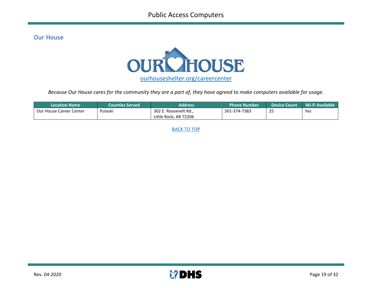#### <span id="page-19-0"></span>**Our House**



*Because Our House cares for the community they are a part of, they have agreed to make computers available for usage.*

| <b>Location Name</b>           | Counties Served | Address               | ' Phone Number | <b>Device Count</b> | Wi-Fi Available |
|--------------------------------|-----------------|-----------------------|----------------|---------------------|-----------------|
| <b>Our House Career Center</b> | Pulaski         | 302 E. Roosevelt Rd   | 501-374-7383   | つに<br>້             | Yes             |
|                                |                 | Little Rock, AR 72206 |                |                     |                 |

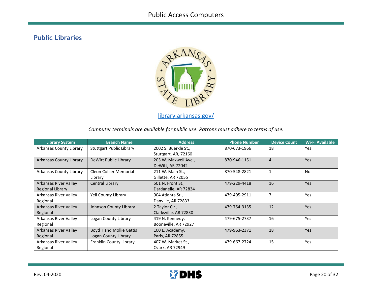## <span id="page-20-0"></span>**Public Libraries**



[library.arkansas.gov/](http://library.arkansas.gov/)

*Computer terminals are available for public use. Patrons must adhere to terms of use.*

| <b>Library System</b>   | <b>Branch Name</b>              | <b>Address</b>        | <b>Phone Number</b> | <b>Device Count</b> | Wi-Fi Available |
|-------------------------|---------------------------------|-----------------------|---------------------|---------------------|-----------------|
| Arkansas County Library | <b>Stuttgart Public Library</b> | 2002 S. Buerkle St.,  | 870-673-1966        | 18                  | Yes             |
|                         |                                 | Stuttgart, AR, 72160  |                     |                     |                 |
| Arkansas County Library | DeWitt Public Library           | 205 W. Maxwell Ave.,  | 870-946-1151        | $\overline{4}$      | <b>Yes</b>      |
|                         |                                 | DeWitt, AR 72042      |                     |                     |                 |
| Arkansas County Library | Cleon Collier Memorial          | 211 W. Main St.,      | 870-548-2821        | 1                   | No              |
|                         | Library                         | Gillette, AR 72055    |                     |                     |                 |
| Arkansas River Valley   | Central Library                 | 501 N. Front St.,     | 479-229-4418        | 16                  | <b>Yes</b>      |
| <b>Regional Library</b> |                                 | Dardanelle, AR 72834  |                     |                     |                 |
| Arkansas River Valley   | Yell County Library             | 904 Atlanta St.,      | 479-495-2911        | $\overline{7}$      | Yes             |
| Regional                |                                 | Danville, AR 72833    |                     |                     |                 |
| Arkansas River Valley   | Johnson County Library          | 2 Taylor Cir.,        | 479-754-3135        | 12                  | <b>Yes</b>      |
| Regional                |                                 | Clarksville, AR 72830 |                     |                     |                 |
| Arkansas River Valley   | Logan County Library            | 419 N. Kennedy,       | 479-675-2737        | 16                  | Yes             |
| Regional                |                                 | Booneville, AR 72927  |                     |                     |                 |
| Arkansas River Valley   | <b>Boyd T and Mollie Gattis</b> | 100 E. Academy,       | 479-963-2371        | 18                  | <b>Yes</b>      |
| Regional                | Logan County Library            | Paris, AR 72855       |                     |                     |                 |
| Arkansas River Valley   | Franklin County Library         | 407 W. Market St.,    | 479-667-2724        | 15                  | <b>Yes</b>      |
| Regional                |                                 | Ozark, AR 72949       |                     |                     |                 |

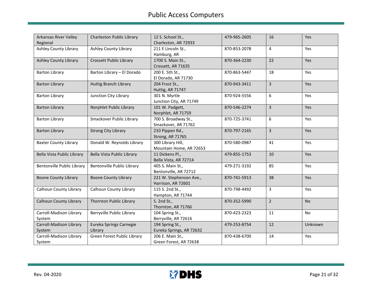| <b>Arkansas River Valley</b><br>Regional | Charleston Public Library          | 12 S. School St.,<br>Charleston, AR 72933     | 479-965-2605 | 16             | Yes       |
|------------------------------------------|------------------------------------|-----------------------------------------------|--------------|----------------|-----------|
| <b>Ashley County Library</b>             | <b>Ashley County Library</b>       | 211 E Lincoln St.,<br>Hamburg, AR             | 870-853-2078 | 4              | Yes       |
| <b>Ashley County Library</b>             | Crossett Public Library            | 1700 S. Main St.,<br>Crossett, AR 71635       | 870-364-2230 | 22             | Yes       |
| <b>Barton Library</b>                    | Barton Library - El Dorado         | 200 E. 5th St.,<br>El Dorado, AR 71730        | 870-863-5447 | 18             | Yes       |
| <b>Barton Library</b>                    | <b>Huttig Branch Library</b>       | 204 Frost St.,<br>Huttig, AR 71747            | 870-943-3411 | 3              | Yes       |
| <b>Barton Library</b>                    | Junction City Library              | 301 N. Myrtle<br>Junction City, AR 71749      | 870-924-5556 | 6              | Yes       |
| <b>Barton Library</b>                    | Norphlet Public Library            | 101 W. Padgett,<br>Norphlet, AR 71759         | 870-546-2274 | 3              | Yes       |
| <b>Barton Library</b>                    | Smackover Public Library           | 700 S. Broadway St.,<br>Smackover, AR 71762   | 870-725-3741 | 6              | Yes       |
| <b>Barton Library</b>                    | <b>Strong City Library</b>         | 210 Pippen Rd.,<br><b>Strong, AR 71765</b>    | 870-797-2165 | 3              | Yes       |
| <b>Baxter County Library</b>             | Donald W. Reynolds Library         | 300 Library Hill,<br>Mountain Home, AR 72653  | 870-580-0987 | 41             | Yes       |
| Bella Vista Public Library               | Bella Vista Public Library         | 11 Dickens Pl.,<br>Bella Vista, AR 72714      | 479-855-1753 | 10             | Yes       |
| <b>Bentonville Public Library</b>        | Bentonville Public Library         | 405 S. Main St.,<br>Bentonville, AR 72712     | 479-271-3192 | 85             | Yes       |
| <b>Boone County Library</b>              | <b>Boone County Library</b>        | 221 W. Stephenson Ave.,<br>Harrison, AR 72601 | 870-741-5913 | 38             | Yes       |
| Calhoun County Library                   | Calhoun County Library             | 115 S. 2nd St.,<br>Hampton, AR 71744          | 870-798-4492 | 3              | Yes       |
| Calhoun County Library                   | Thornton Public Library            | S. 2nd St.,<br>Thornton, AR 71766             | 870-352-5990 | $\overline{2}$ | <b>No</b> |
| Carroll-Madison Library<br>System        | Berryville Public Library          | 104 Spring St.,<br>Berryville, AR 72616       | 870-423-2323 | 11             | No        |
| Carroll-Madison Library<br>System        | Eureka Springs Carnegie<br>Library | 194 Spring St.,<br>Eureka Springs, AR 72632   | 479-253-8754 | 12             | Unknown   |
| Carroll-Madison Library<br>System        | Green Forest Public Library        | 206 E. Main St.,<br>Green Forest, AR 72638    | 870-438-6700 | 14             | Yes       |

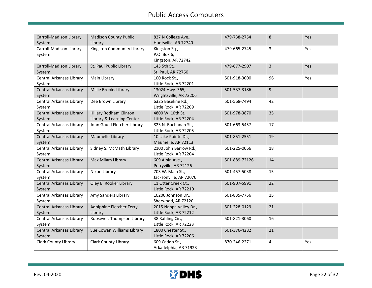| Carroll-Madison Library     | <b>Madison County Public</b>  | 827 N College Ave.,    | 479-738-2754  | 8  | Yes        |
|-----------------------------|-------------------------------|------------------------|---------------|----|------------|
| System                      | Library                       | Huntsville, AR 72740   |               |    |            |
| Carroll-Madison Library     | Kingston Community Library    | Kingston Sq.,          | 479-665-2745  | 3  | Yes        |
| System                      |                               | P.O. Box 6,            |               |    |            |
|                             |                               | Kingston, AR 72742     |               |    |            |
| Carroll-Madison Library     | St. Paul Public Library       | 145 5th St.,           | 479-677-2907  | 3  | Yes        |
| System                      |                               | St. Paul, AR 72760     |               |    |            |
| Central Arkansas Library    | Main Library                  | 100 Rock St.,          | 501-918-3000  | 96 | <b>Yes</b> |
| System                      |                               | Little Rock, AR 72201  |               |    |            |
| Central Arkansas Library    | Millie Brooks Library         | 13024 Hwy. 365,        | 501-537-3186  | 9  |            |
| System                      |                               | Wrightsville, AR 72206 |               |    |            |
| Central Arkansas Library    | Dee Brown Library             | 6325 Baseline Rd.,     | 501-568-7494  | 42 |            |
| System                      |                               | Little Rock, AR 72209  |               |    |            |
| Central Arkansas Library    | <b>Hillary Rodham Clinton</b> | 4800 W. 10th St.,      | 501-978-3870  | 35 |            |
| System                      | Library & Learning Center     | Little Rock, AR 72204  |               |    |            |
| Central Arkansas Library    | John Gould Fletcher Library   | 823 N. Buchanan St.,   | 501-663-5457  | 17 |            |
| System                      |                               | Little Rock, AR 72205  |               |    |            |
| Central Arkansas Library    | Maumelle Library              | 10 Lake Pointe Dr.,    | 501-851-2551  | 19 |            |
| System                      |                               | Maumelle, AR 72113     |               |    |            |
| Central Arkansas Library    | Sidney S. McMath Library      | 2100 John Barrow Rd.,  | 501-225-0066  | 18 |            |
| System                      |                               | Little Rock, AR 72204  |               |    |            |
| Central Arkansas Library    | Max Milam Library             | 609 Alpin Ave.,        | 501-889-72126 | 14 |            |
| System                      |                               | Perryville, AR 72126   |               |    |            |
| Central Arkansas Library    | Nixon Library                 | 703 W. Main St.,       | 501-457-5038  | 15 |            |
| System                      |                               | Jacksonville, AR 72076 |               |    |            |
| Central Arkansas Library    | Oley E. Rooker Library        | 11 Otter Creek Ct.,    | 501-907-5991  | 22 |            |
| System                      |                               | Little Rock, AR 72210  |               |    |            |
| Central Arkansas Library    | Amy Sanders Library           | 10200 Johnson Dr.,     | 501-835-7756  | 15 |            |
| System                      |                               | Sherwood, AR 72120     |               |    |            |
| Central Arkansas Library    | Adolphine Fletcher Terry      | 2015 Nappa Valley Dr., | 501-228-0129  | 21 |            |
| System                      | Library                       | Little Rock, AR 72212  |               |    |            |
| Central Arkansas Library    | Roosevelt Thompson Library    | 38 Rahling Cir.,       | 501-821-3060  | 16 |            |
| System                      |                               | Little Rock, AR 72223  |               |    |            |
| Central Arkansas Library    | Sue Cowan Williams Library    | 1800 Chester St.,      | 501-376-4282  | 21 |            |
| System                      |                               | Little Rock, AR 72206  |               |    |            |
| <b>Clark County Library</b> | <b>Clark County Library</b>   | 609 Caddo St.,         | 870-246-2271  | 4  | Yes        |
|                             |                               | Arkadelphia, AR 71923  |               |    |            |

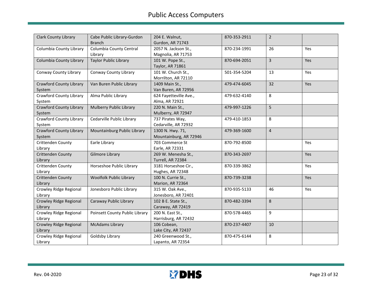| <b>Clark County Library</b>              | Cabe Public Library-Gurdon<br><b>Branch</b> | 204 E. Walnut,<br>Gurdon, AR 71743         | 870-353-2911 | $\overline{2}$ |            |
|------------------------------------------|---------------------------------------------|--------------------------------------------|--------------|----------------|------------|
| Columbia County Library                  | Columbia County Central<br>Library          | 2057 N. Jackson St.,<br>Magnolia, AR 71753 | 870-234-1991 | 26             | Yes        |
| Columbia County Library                  | <b>Taylor Public Library</b>                | 101 W. Pope St.,<br>Taylor, AR 71861       | 870-694-2051 | 3              | Yes        |
| Conway County Library                    | Conway County Library                       | 101 W. Church St.,<br>Morrilton, AR 72110  | 501-354-5204 | 13             | Yes        |
| <b>Crawford County Library</b><br>System | Van Buren Public Library                    | 1409 Main St.,<br>Van Buren, AR 72956      | 479-474-6045 | 32             | <b>Yes</b> |
| Crawford County Library<br>System        | Alma Public Library                         | 624 Fayetteville Ave.,<br>Alma, AR 72921   | 479-632-4140 | 8              |            |
| <b>Crawford County Library</b><br>System | Mulberry Public Library                     | 220 N. Main St.,<br>Mulberry, AR 72947     | 479-997-1226 | 5              |            |
| Crawford County Library<br>System        | Cedarville Public Library                   | 737 Pirates Way,<br>Cedarville, AR 72932   | 479-410-1853 | 8              |            |
| <b>Crawford County Library</b><br>System | Mountainburg Public Library                 | 1300 N. Hwy. 71,<br>Mountainburg, AR 72946 | 479-369-1600 | $\overline{4}$ |            |
| Crittenden County<br>Library             | Earle Library                               | 703 Commerce St<br>Earle, AR 72331         | 870-792-8500 |                | Yes        |
| Crittenden County<br>Library             | Gilmore Library                             | 269 W. Menesha St.,<br>Turrell, AR 72384   | 870-343-2697 |                | <b>Yes</b> |
| Crittenden County<br>Library             | Horseshoe Public Library                    | 3181 Horseshoe Cir.,<br>Hughes, AR 72348   | 870-339-3862 |                | Yes        |
| Crittenden County<br>Library             | <b>Woolfolk Public Library</b>              | 100 N. Currie St.,<br>Marion, AR 72364     | 870-739-3238 |                | <b>Yes</b> |
| Crowley Ridge Regional<br>Library        | Jonesboro Public Library                    | 315 W. Oak Ave.,<br>Jonesboro, AR 72401    | 870-935-5133 | 46             | Yes        |
| Crowley Ridge Regional<br>Library        | Caraway Public Library                      | 102 B E. State St.,<br>Caraway, AR 72419   | 870-482-3394 | 8              |            |
| Crowley Ridge Regional<br>Library        | Poinsett County Public Library              | 200 N. East St.,<br>Harrisburg, AR 72432   | 870-578-4465 | 9              |            |
| Crowley Ridge Regional<br>Library        | <b>McAdams Library</b>                      | 106 Cobean,<br>Lake City, AR 72437         | 870-237-4407 | 10             |            |
| Crowley Ridge Regional<br>Library        | Goldsby Library                             | 240 Greenwood St.,<br>Lapanto, AR 72354    | 870-475-6144 | 8              |            |

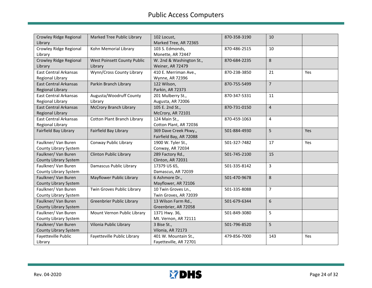| Crowley Ridge Regional       | Marked Tree Public Library         | 102 Locust,              | 870-358-3190 | 10             |     |
|------------------------------|------------------------------------|--------------------------|--------------|----------------|-----|
| Library                      |                                    | Marked Tree, AR 72365    |              |                |     |
| Crowley Ridge Regional       | Kohn Memorial Library              | 103 S. Edmonds,          | 870-486-2515 | 10             |     |
| Library                      |                                    | Monette, AR 72447        |              |                |     |
| Crowley Ridge Regional       | West Poinsett County Public        | W. 2nd & Washington St., | 870-684-2235 | 8              |     |
| Library                      | Library                            | Weiner, AR 72479         |              |                |     |
| <b>East Central Arkansas</b> | Wynn/Cross County Library          | 410 E. Merriman Ave.,    | 870-238-3850 | 21             | Yes |
| Regional Library             |                                    | Wynne, AR 72396          |              |                |     |
| <b>East Central Arkansas</b> | Parkin Branch Library              | 122 Wilson,              | 870-755-5499 | $\overline{7}$ |     |
| Regional Library             |                                    | Parkin, AR 72373         |              |                |     |
| <b>East Central Arkansas</b> | Augusta/Woodruff County            | 201 Mulberry St.,        | 870-347-5331 | 11             |     |
| Regional Library             | Library                            | Augusta, AR 72006        |              |                |     |
| <b>East Central Arkansas</b> | <b>McCrory Branch Library</b>      | 105 E. 2nd St.,          | 870-731-0150 | 4              |     |
| <b>Regional Library</b>      |                                    | McCrory, AR 72101        |              |                |     |
| <b>East Central Arkansas</b> | <b>Cotton Plant Branch Library</b> | 124 Main St.,            | 870-459-1063 | 4              |     |
| Regional Library             |                                    | Cotton Plant, AR 72036   |              |                |     |
| Fairfield Bay Library        | Fairfield Bay Library              | 369 Dave Creek Pkwy.,    | 501-884-4930 | 5              | Yes |
|                              |                                    | Fairfield Bay, AR 72088  |              |                |     |
| Faulkner/ Van Buren          | Conway Public Library              | 1900 W. Tyler St.,       | 501-327-7482 | 17             | Yes |
| County Library System        |                                    | Conway, AR 72034         |              |                |     |
| Faulkner/ Van Buren          | <b>Clinton Public Library</b>      | 289 Factory Rd.,         | 501-745-2100 | 15             |     |
| County Library System        |                                    | Clinton, AR 72031        |              |                |     |
| Faulkner/ Van Buren          | Damascus Public Library            | 17379 US 65,             | 501-335-8142 | 3              |     |
| County Library System        |                                    | Damascus, AR 72039       |              |                |     |
| Faulkner/ Van Buren          | Mayflower Public Library           | 6 Ashmore Dr.,           | 501-470-9678 | 8              |     |
| County Library System        |                                    | Mayflower, AR 72106      |              |                |     |
| Faulkner/ Van Buren          | Twin Groves Public Library         | 10 Twin Groves Ln.,      | 501-335-8088 | $\overline{7}$ |     |
| County Library System        |                                    | Twin Groves, AR 72039    |              |                |     |
| Faulkner/ Van Buren          | Greenbrier Public Library          | 13 Wilson Farm Rd.,      | 501-679-6344 | 6              |     |
| County Library System        |                                    | Greenbrier, AR 72058     |              |                |     |
| Faulkner/ Van Buren          | Mount Vernon Public Library        | 1371 Hwy. 36,            | 501-849-3080 | 5              |     |
| County Library System        |                                    | Mt. Vernon, AR 72111     |              |                |     |
| Faulkner/ Van Buren          | Vilonia Public Library             | 3 Bise St.,              | 501-796-8520 | 5              |     |
| County Library System        |                                    | Vilonia, AR 72173        |              |                |     |
| Fayetteville Public          | Fayetteville Public Library        | 401 W. Mountain St.,     | 479-856-7000 | 143            | Yes |
| Library                      |                                    | Fayetteville, AR 72701   |              |                |     |

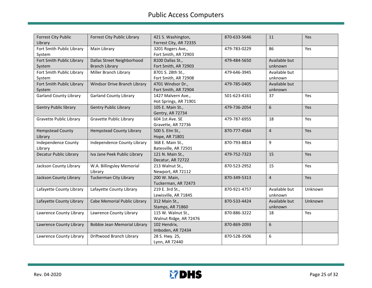| <b>Forrest City Public</b>    | Forrest City Public Library     | 421 S. Washington,     | 870-633-5646 | 11             | Yes     |
|-------------------------------|---------------------------------|------------------------|--------------|----------------|---------|
| Library                       |                                 | Forrest City, AR 72335 |              |                |         |
| Fort Smith Public Library     | Main Library                    | 3201 Rogers Ave.,      | 479-783-0229 | 86             | Yes     |
| System                        |                                 | Fort Smith, AR 72903   |              |                |         |
| Fort Smith Public Library     | Dallas Street Neighborhood      | 8100 Dallas St.,       | 479-484-5650 | Available but  |         |
| System                        | <b>Branch Library</b>           | Fort Smith, AR 72903   |              | unknown        |         |
| Fort Smith Public Library     | Miller Branch Library           | 8701 S. 28th St.,      | 479-646-3945 | Available but  |         |
| System                        |                                 | Fort Smith, AR 72908   |              | unknown        |         |
| Fort Smith Public Library     | Windsor Drive Branch Library    | 4701 Windsor Dr.,      | 479-785-0405 | Available but  |         |
| System                        |                                 | Fort Smith, AR 72904   |              | unknown        |         |
| <b>Garland County Library</b> | <b>Garland County Library</b>   | 1427 Malvern Ave.,     | 501-623-4161 | 37             | Yes     |
|                               |                                 | Hot Springs, AR 71901  |              |                |         |
| <b>Gentry Public library</b>  | <b>Gentry Public Library</b>    | 105 E. Main St.,       | 479-736-2054 | 6              | Yes     |
|                               |                                 | Gentry, AR 72734       |              |                |         |
| Gravette Public Library       | Gravette Public Library         | 604 1st Ave. SE        | 479-787-6955 | 18             | Yes     |
|                               |                                 | Gravette, AR 72736     |              |                |         |
| <b>Hempstead County</b>       | <b>Hempstead County Library</b> | 500 S. Elm St.,        | 870-777-4564 | $\overline{4}$ | Yes     |
| Library                       |                                 | Hope, AR 71801         |              |                |         |
| <b>Independence County</b>    | Independence County Library     | 368 E. Main St.,       | 870-793-8814 | 9              | Yes     |
| Library                       |                                 | Batesville, AR 72501   |              |                |         |
| <b>Decatur Public Library</b> | Iva Jane Peek Public Library    | 121 N. Main St.,       | 479-752-7323 | 15             | Yes     |
|                               |                                 | Decatur, AR 72722      |              |                |         |
| Jackson County Library        | W.A. Billingsley Memorial       | 213 Walnut St.,        | 870-523-2952 | 15             | Yes     |
|                               | Library                         | Newport, AR 72112      |              |                |         |
| Jackson County Library        | <b>Tuckerman City Library</b>   | 200 W. Main,           | 870-349-5313 | $\overline{4}$ | Yes     |
|                               |                                 | Tuckerman, AR 72473    |              |                |         |
| Lafayette County Library      | Lafayette County Library        | 219 E. 3rd St.,        | 870-921-4757 | Available but  | Unknown |
|                               |                                 | Lewisville, AR 71845   |              | unknown        |         |
| Lafayette County Library      | Cabe Memorial Public Library    | 312 Main St.,          | 870-533-4424 | Available but  | Unknown |
|                               |                                 | Stamps, AR 71860       |              | unknown        |         |
| Lawrence County Library       | Lawrence County Library         | 115 W. Walnut St.,     | 870-886-3222 | 18             | Yes     |
|                               |                                 | Walnut Ridge, AR 72476 |              |                |         |
| Lawrence County Library       | Bobbie Jean Memorial Library    | 102 Hendrix,           | 870-869-2093 | 6              |         |
|                               |                                 | Imboden, AR 72434      |              |                |         |
| Lawrence County Library       | Driftwood Branch Library        | 28 S. Hwy. 25,         | 870-528-3506 | 6              |         |
|                               |                                 | Lynn, AR 72440         |              |                |         |

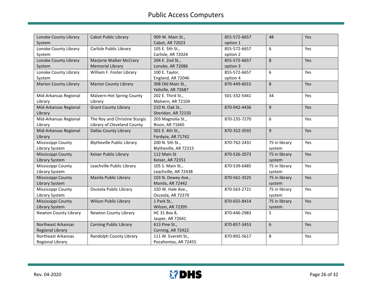| Lonoke County Library        | Cabot Public Library              | 909 W. Main St.,      | 855-572-6657 | 48            | Yes |
|------------------------------|-----------------------------------|-----------------------|--------------|---------------|-----|
| System                       |                                   | Cabot, AR 72023       | option 1     |               |     |
| Lonoke County Library        | Carlisle Public Library           | 105 E. 5th St.,       | 855-572-6657 | 6             | Yes |
| System                       |                                   | Carlisle, AR 72024    | option 2     |               |     |
| Lonoke County Library        | Marjorie Walker McCrary           | 204 E. 2nd St.,       | 855-572-6657 | 8             | Yes |
| System                       | <b>Memorial Library</b>           | Lonoke, AR 72086      | option 3     |               |     |
| Lonoke County Library        | William F. Foster Library         | 100 E. Taylor,        | 855-572-6657 | 6             | Yes |
| System                       |                                   | England, AR 72046     | option 4     |               |     |
| <b>Marion County Library</b> | <b>Marion County Library</b>      | 308 Old Main St.,     | 870-449-6015 | 8             | Yes |
|                              |                                   | Yellville, AR 72687   |              |               |     |
| Mid-Arkansas Regional        | <b>Malvern-Hot Spring County</b>  | 202 E. Third St.,     | 501-332-5441 | 34            | Yes |
| Library                      | Library                           | Malvern, AR 72104     |              |               |     |
| Mid-Arkansas Regional        | <b>Grant County Library</b>       | 210 N. Oak St.,       | 870-942-4436 | 9             | Yes |
| Library                      |                                   | Sheridan, AR 72150    |              |               |     |
| Mid-Arkansas Regional        | The Roy and Christine Sturgis     | 203 Magnolia St.,     | 870-235-7270 | 6             | Yes |
| Library                      | Library of Cleveland County       | Rison, AR 71665       |              |               |     |
| Mid-Arkansas Regional        | <b>Dallas County Library</b>      | 501 E. 4th St.,       | 870-352-3592 | 9             | Yes |
| Library                      |                                   | Fordyce, AR 71742     |              |               |     |
| Mississippi County           | <b>Blytheville Public Library</b> | 200 N. 5th St.,       | 870-762-2431 | 75 in library | Yes |
| Library System               |                                   | Blytheville, AR 72315 |              | system        |     |
| Mississippi County           | Keiser Public Library             | 112 Main St           | 870-526-2073 | 75 in library | Yes |
| Library System               |                                   | Keiser, AR 72351      |              | system        |     |
| Mississippi County           | Leachville Public Library         | 105 S. Main St.,      | 870-539-6485 | 75 in library | Yes |
| Library System               |                                   | Leachville, AR 72438  |              | system        |     |
| Mississippi County           | Manila Public Library             | 103 N. Dewey Ave.,    | 870-561-3525 | 75 in library | Yes |
| Library System               |                                   | Manila, AR 72442      |              | system        |     |
| Mississippi County           | Osceola Public Library            | 320 W. Hale Ave.,     | 870-563-2721 | 75 in library | Yes |
| Library System               |                                   | Osceola, AR 72370     |              | system        |     |
| Mississippi County           | <b>Wilson Public Library</b>      | 1 Park St.,           | 870-655-8414 | 75 in library | Yes |
| Library System               |                                   | Wilson, AR 72395      |              | system        |     |
| Newton County Library        | Newton County Library             | HC 31 Box 8,          | 870-446-2983 | 5             | Yes |
|                              |                                   | Jasper, AR 72641      |              |               |     |
| <b>Northeast Arkansas</b>    | <b>Corning Public Library</b>     | 613 Pine St.,         | 870-857-3453 | 6             | Yes |
| <b>Regional Library</b>      |                                   | Corning, AR 72422     |              |               |     |
| Northeast Arkansas           | Randolph County Library           | 111 W. Everett St.,   | 870-892-5617 | 8             | Yes |
| Regional Library             |                                   | Pocahontas, AR 72455  |              |               |     |

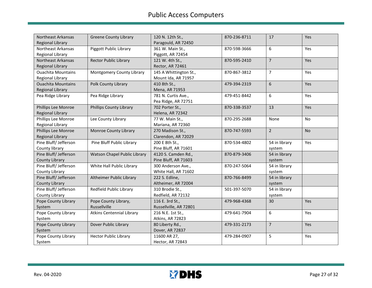| <b>Northeast Arkansas</b> | <b>Greene County Library</b>   | 120 N. 12th St.,       | 870-236-8711 | 17             | Yes       |
|---------------------------|--------------------------------|------------------------|--------------|----------------|-----------|
| <b>Regional Library</b>   |                                | Paragould, AR 72450    |              |                |           |
| Northeast Arkansas        | Piggott Public Library         | 361 W. Main St.,       | 870-598-3666 | 6              | Yes       |
| Regional Library          |                                | Piggott, AR 72454      |              |                |           |
| Northeast Arkansas        | <b>Rector Public Library</b>   | 121 W. 4th St.,        | 870-595-2410 | $\overline{7}$ | Yes       |
| <b>Regional Library</b>   |                                | Rector, AR 72461       |              |                |           |
| <b>Ouachita Mountains</b> | Montgomery County Library      | 145 A Whittington St., | 870-867-3812 | $\overline{7}$ | Yes       |
| Regional Library          |                                | Mount Ida, AR 71957    |              |                |           |
| <b>Ouachita Mountains</b> | Polk County Library            | 410 8th St.,           | 479-394-2319 | 6              | Yes       |
| <b>Regional Library</b>   |                                | Mena, AR 71953         |              |                |           |
| Pea Ridge Library         | Pea Ridge Library              | 781 N. Curtis Ave.,    | 479-451-8442 | 6              | Yes       |
|                           |                                | Pea Ridge, AR 72751    |              |                |           |
| Phillips Lee Monroe       | <b>Phillips County Library</b> | 702 Porter St.,        | 870-338-3537 | 13             | Yes       |
| <b>Regional Library</b>   |                                | Helena, AR 72342       |              |                |           |
| Phillips Lee Monroe       | Lee County Library             | 77 W. Main St.,        | 870-295-2688 | None           | No        |
| Regional Library          |                                | Mariana, AR 72360      |              |                |           |
| Phillips Lee Monroe       | Monroe County Library          | 270 Madison St.,       | 870-747-5593 | $\overline{2}$ | <b>No</b> |
| <b>Regional Library</b>   |                                | Clarendon, AR 72029    |              |                |           |
| Pine Bluff/ Jefferson     | Pine Bluff Public Library      | 200 E 8th St.,         | 870-534-4802 | 54 in library  | Yes       |
| County library            |                                | Pine Bluff, AR 71601   |              | system         |           |
| Pine Bluff/ Jefferson     | Watson Chapel Public Library   | 4120 S. Camden Rd.,    | 870-879-3406 | 54 in library  |           |
| <b>County Library</b>     |                                | Pine Bluff, AR 71603   |              | system         |           |
| Pine Bluff/ Jefferson     | White Hall Public Library      | 300 Anderson Ave.,     | 870-247-5064 | 54 in library  |           |
| County Library            |                                | White Hall, AR 71602   |              | system         |           |
| Pine Bluff/ Jefferson     | Altheimer Public Library       | 222 S. Edline,         | 870-766-8499 | 54 in library  |           |
| <b>County Library</b>     |                                | Altheimer, AR 72004    |              | system         |           |
| Pine Bluff/ Jefferson     | Redfield Public Library        | 310 Brodie St.,        | 501-397-5070 | 54 in library  |           |
| County Library            |                                | Redfield, AR 72132     |              | system         |           |
| Pope County Library       | Pope County Library,           | 116 E. 3rd St.,        | 479-968-4368 | 30             | Yes       |
| System                    | Russellville                   | Russellville, AR 72801 |              |                |           |
| Pope County Library       | Atkins Centennial Library      | 216 N.E. 1st St.,      | 479-641-7904 | 6              | Yes       |
| System                    |                                | Atkins, AR 72823       |              |                |           |
| Pope County Library       | Dover Public Library           | 80 Liberty Rd.,        | 479-331-2173 | $\overline{7}$ | Yes       |
| System                    |                                | Dover, AR 72837        |              |                |           |
| Pope County Library       | <b>Hector Public Library</b>   | 11600 AR 27,           | 479-284-0907 | 5              | Yes       |
| System                    |                                | Hector, AR 72843       |              |                |           |

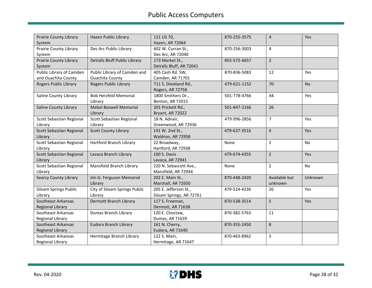| Prairie County Library           | Hazen Public Library           | 121 US 70,                            | 870-255-3575 | $\overline{4}$ | Yes       |
|----------------------------------|--------------------------------|---------------------------------------|--------------|----------------|-----------|
| System<br>Prairie County Library | Des Arc Public Library         | Hazen, AR 72064<br>602 W. Curran St., | 870-256-3003 | 4              |           |
| System                           |                                | Des Arc, AR 72040                     |              |                |           |
| <b>Prairie County Library</b>    | DeValls Bluff Public Library   | 173 Market St.,                       | 855-572-6657 | $\overline{2}$ |           |
| System                           |                                | DeValls Bluff, AR 72041               |              |                |           |
| Public Library of Camden         | Public Library of Camden and   | 405 Cash Rd. SW,                      | 870-836-5083 | 12             | Yes       |
| and Ouachita County              | <b>Ouachita County</b>         | Camden, AR 71701                      |              |                |           |
| Rogers Public Library            | <b>Rogers Public Library</b>   | 711 S. Dixieland Rd.,                 | 479-621-1152 | 70             | <b>No</b> |
|                                  |                                | Rogers, AR 72758                      |              |                |           |
| Saline County Library            | <b>Bob Herzfeld Memorial</b>   | 1800 Smithers Dr.,                    | 501-778-4766 | 44             | Yes       |
|                                  | Library                        | Benton, AR 72015                      |              |                |           |
| Saline County Library            | <b>Mabel Boswell Memorial</b>  | 201 Prickett Rd.,                     | 501-847-2166 | 26             |           |
|                                  | Library                        | Bryant, AR 72022                      |              |                |           |
| Scott Sebastian Regional         | Scott Sebastian Regional       | 18 N. Adnair,                         | 479-996-2856 | $\overline{7}$ | Yes       |
| Library                          | Library                        | Greenwood, AR 72936                   |              |                |           |
| Scott Sebastian Regional         | <b>Scott County Library</b>    | 141 W. 2nd St.,                       | 479-637-3516 | $\overline{4}$ | Yes       |
| Library                          |                                | Waldron, AR 72958                     |              |                |           |
| Scott Sebastian Regional         | <b>Hartford Branch Library</b> | 22 Broadway,                          | None         | $\overline{2}$ | No        |
| Library                          |                                | Hartford, AR 72938                    |              |                |           |
| Scott Sebastian Regional         | Lavaca Branch Library          | 100 S. Davis                          | 479-674-4355 | $\overline{2}$ | Yes       |
| Library                          |                                | Lavaca, AR 72941                      |              |                |           |
| Scott Sebastian Regional         | Mansfield Branch Library       | 220 N. Sebascott Ave.,                | None         | $\overline{2}$ | No        |
| Library                          |                                | Mansfield, AR 72944                   |              |                |           |
| Searcy County Library            | Jim G. Ferguson Memorial       | 202 E. Main St.,                      | 870-448-2420 | Available but  | Unknown   |
|                                  | Library                        | Marshall, AR 72650                    |              | unknown        |           |
| <b>Siloam Springs Public</b>     | City of Siloam Springs Public  | 205 E. Jefferson St.,                 | 479-524-4236 | 26             | Yes       |
| Library                          | Library                        | Siloam Springs, AR 72761              |              |                |           |
| Southeast Arkansas               | Dermott Branch Library         | 117 S. Freeman,                       | 870-538-3514 | 5              | Yes       |
| Regional Library                 |                                | Dermott, AR 71638                     |              |                |           |
| Southeast Arkansas               | Dumas Branch Library           | 120 E. Choctaw,                       | 870-382-5763 | 11             |           |
| Regional Library                 |                                | Dumas, AR 71639                       |              |                |           |
| Southeast Arkansas               | Eudora Branch Library          | 161 N. Cherry,                        | 870-355-2450 | 8              |           |
| <b>Regional Library</b>          |                                | Eudora, AR 71640                      |              |                |           |
| Southeast Arkansas               | Hermitage Branch Library       | 122 S. Main,                          | 870-463-8962 | 3              |           |
| Regional Library                 |                                | Hermitage, AR 71647                   |              |                |           |

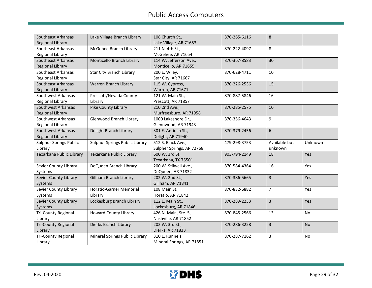| Southeast Arkansas         | Lake Village Branch Library     | 108 Church St.,           | 870-265-6116 | 8              |           |
|----------------------------|---------------------------------|---------------------------|--------------|----------------|-----------|
| Regional Library           |                                 | Lake Village, AR 71653    |              |                |           |
| Southeast Arkansas         | McGehee Branch Library          | 211 N. 4th St.,           | 870-222-4097 | 8              |           |
| Regional Library           |                                 | McGehee, AR 71654         |              |                |           |
| Southeast Arkansas         | Monticello Branch Library       | 114 W. Jefferson Ave.,    | 870-367-8583 | 30             |           |
| <b>Regional Library</b>    |                                 | Monticello, AR 71655      |              |                |           |
| Southeast Arkansas         | <b>Star City Branch Library</b> | 200 E. Wiley,             | 870-628-4711 | 10             |           |
| Regional Library           |                                 | Star City, AR 71667       |              |                |           |
| Southeast Arkansas         | Warren Branch Library           | 115 W. Cypress,           | 870-226-2536 | 15             |           |
| Regional Library           |                                 | Warren, AR 71671          |              |                |           |
| Southwest Arkansas         | Prescott/Nevada County          | 121 W. Main St.,          | 870-887-5846 | 16             |           |
| Regional Library           | Library                         | Prescott, AR 71857        |              |                |           |
| Southwest Arkansas         | Pike County Library             | 210 2nd Ave.,             | 870-285-2575 | 10             |           |
| Regional Library           |                                 | Murfreesburo, AR 71958    |              |                |           |
| Southwest Arkansas         | Glenwood Branch Library         | 1000 Lakeshore Dr.,       | 870-356-4643 | 9              |           |
| Regional Library           |                                 | Glennwood, AR 71943       |              |                |           |
| Southwest Arkansas         | Delight Branch Library          | 301 E. Antioch St.,       | 870-379-2456 | 6              |           |
| Regional Library           |                                 | Delight, AR 71940         |              |                |           |
| Sulphur Springs Public     | Sulphur Springs Public Library  | 512 S. Black Ave.,        | 479-298-3753 | Available but  | Unknown   |
| Library                    |                                 | Sulpher Springs, AR 72768 |              | unknown        |           |
| Texarkana Public Library   | Texarkana Public Library        | 600 W. 3rd St.,           | 903-794-2149 | 18             | Yes       |
|                            |                                 | Texarkana, TX 75501       |              |                |           |
| Sevier County Library      | DeQueen Branch Library          | 200 W. Stilwell Ave.,     | 870-584-4364 | 16             | Yes       |
| Systems                    |                                 | DeQueen, AR 71832         |              |                |           |
| Sevier County Library      | <b>Gillham Branch Library</b>   | 202 W. 2nd St.,           | 870-386-5665 | 3              | Yes       |
| Systems                    |                                 | Gillham, AR 71841         |              |                |           |
| Sevier County Library      | Horatio-Garner Memorial         | 108 Main St.,             | 870-832-6882 | $\overline{7}$ | Yes       |
| Systems                    | Library                         | Horatio, AR 71842         |              |                |           |
| Sevier County Library      | Lockesburg Branch Library       | 112 E. Main St.,          | 870-289-2233 | 3              | Yes       |
| Systems                    |                                 | Lockesburg, AR 71846      |              |                |           |
| <b>Tri-County Regional</b> | <b>Howard County Library</b>    | 426 N. Main, Ste. 5,      | 870-845-2566 | 13             | No        |
| Library                    |                                 | Nashville, AR 71852       |              |                |           |
| <b>Tri-County Regional</b> | Dierks Branch Library           | 202 W. 3rd St.,           | 870-286-3228 | 3              | <b>No</b> |
| Library                    |                                 | Dierks, AR 71833          |              |                |           |
| <b>Tri-County Regional</b> | Mineral Springs Public Library  | 310 E. Runnels,           | 870-287-7162 | 3              | <b>No</b> |
| Library                    |                                 | Mineral Springs, AR 71851 |              |                |           |

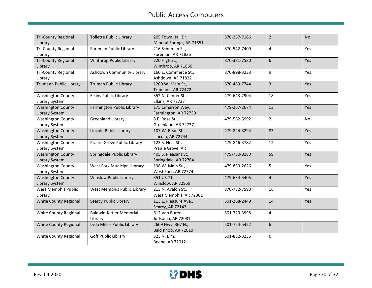| <b>Tri-County Regional</b>    | <b>Tollette Public Library</b>   | 205 Town Hall Dr.,        | 870-287-7166 | $\overline{2}$          | No  |
|-------------------------------|----------------------------------|---------------------------|--------------|-------------------------|-----|
| Library                       |                                  | Mineral Springs, AR 71851 |              |                         |     |
| <b>Tri-County Regional</b>    | Foreman Public Library           | 216 Schuman St.,          | 870-542-7409 | 4                       | Yes |
| Library                       |                                  | Foreman, AR 71836         |              |                         |     |
| <b>Tri-County Regional</b>    | Winthrop Public Library          | 720 High St.,             | 870-381-7580 | 6                       | Yes |
| Library                       |                                  | Winthrop, AR 71866        |              |                         |     |
| <b>Tri-County Regional</b>    | Ashdown Community Library        | 160 E. Commerce St.,      | 870-898-3233 | 9                       | Yes |
| Library                       |                                  | Ashdown, AR 71822         |              |                         |     |
| <b>Trumann Public Library</b> | <b>Truman Public Library</b>     | 1200 W. Main St.,         | 870-483-7744 | 3                       | Yes |
|                               |                                  | Trumann, AR 72472         |              |                         |     |
| <b>Washington County</b>      | <b>Elkins Public Library</b>     | 352 N. Center St.,        | 479-643-2904 | 18                      | Yes |
| Library System                |                                  | Elkins, AR 72727          |              |                         |     |
| <b>Washington County</b>      | <b>Farmington Public Library</b> | 175 Cimarron Way,         | 479-267-2674 | 13                      | Yes |
| Library System                |                                  | Farmington, AR 72730      |              |                         |     |
| <b>Washington County</b>      | <b>Greenland Library</b>         | 8 E. Rose St.,            | 479-582-5992 | $\overline{2}$          | No  |
| Library System                |                                  | Greenland, AR 72737       |              |                         |     |
| <b>Washington County</b>      | Lincoln Public Library           | 107 W. Bean St.,          | 479-824-3294 | 83                      | Yes |
| Library System                |                                  | Lincoln, AR 72744         |              |                         |     |
| <b>Washington County</b>      | Prairie Grove Public Library     | 123 S. Neal St.,          | 479-846-3782 | 12                      | Yes |
| Library System                |                                  | Prairie Grove, AR         |              |                         |     |
| <b>Washington County</b>      | Springdale Public Library        | 405 S. Pleasant St.,      | 479-750-8180 | 59                      | Yes |
| Library System                |                                  | Springdale, AR 72764      |              |                         |     |
| <b>Washington County</b>      | West Fork Municipal Library      | 198 W. Main St.,          | 479-839-2626 | 5                       | Yes |
| Library System                |                                  | West Fork, AR 72774       |              |                         |     |
| <b>Washington County</b>      | <b>Winslow Public Library</b>    | 351 US 71,                | 479-634-5405 | $\overline{\mathbf{4}}$ | Yes |
| Library System                |                                  | Winslow, AR 72959         |              |                         |     |
| West Memphis Public           | West Memphis Public Library      | 213 N. Avalon St.,        | 870-732-7590 | 16                      | Yes |
| Library                       |                                  | West Memphis, AR 72301    |              |                         |     |
| White County Regional         | <b>Searcy Public Library</b>     | 113 E. Pleasure Ave.,     | 501-268-2449 | 14                      | Yes |
|                               |                                  | Searcy, AR 72143          |              |                         |     |
| White County Regional         | <b>Baldwin-Kittler Memorial</b>  | 612 Van Buren,            | 501-729-3995 | 4                       |     |
|                               | Library                          | Judsonia, AR 72081        |              |                         |     |
| White County Regional         | Lyda Miller Public Library       | 2609 Hwy. 367 N.,         | 501-724-5452 | 6                       |     |
|                               |                                  | Bald Knob, AR 72010       |              |                         |     |
| White County Regional         | Goff Public Library              | 323 N. Elm,               | 501-882-3235 | 6                       |     |
|                               |                                  |                           |              |                         |     |

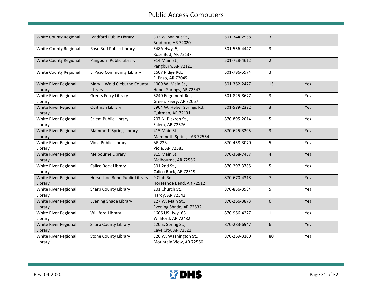| White County Regional        | <b>Bradford Public Library</b> | 302 W. Walnut St.,<br>Bradford, AR 72020 | 501-344-2558 | 3                       |     |
|------------------------------|--------------------------------|------------------------------------------|--------------|-------------------------|-----|
| White County Regional        | Rose Bud Public Library        | 548A Hwy. 5,                             | 501-556-4447 | 3                       |     |
|                              |                                |                                          |              |                         |     |
|                              |                                | Rose Bud, AR 72137                       |              |                         |     |
| <b>White County Regional</b> | Pangburn Public Library        | 914 Main St.,                            | 501-728-4612 | $\overline{2}$          |     |
|                              |                                | Pangburn, AR 72121                       |              |                         |     |
| White County Regional        | El Paso Community Library      | 1607 Ridge Rd.,                          | 501-796-5974 | 3                       |     |
|                              |                                | El Paso, AR 72045                        |              |                         |     |
| White River Regional         | Mary I. Wold Cleburne County   | 1009 W. Main St.,                        | 501-362-2477 | 15                      | Yes |
| Library                      | Library                        | Heber Springs, AR 72543                  |              |                         |     |
| White River Regional         | Greers Ferry Library           | 8240 Edgemont Rd.,                       | 501-825-8677 | 3                       | Yes |
| Library                      |                                | Greers Feery, AR 72067                   |              |                         |     |
| White River Regional         | Quitman Library                | 5904 W. Heber Springs Rd.,               | 501-589-2332 | 3                       | Yes |
| Library                      |                                | Quitman, AR 72131                        |              |                         |     |
| White River Regional         | Salem Public Library           | 207 N. Pickren St.,                      | 870-895-2014 | 5                       | Yes |
| Library                      |                                | Salem, AR 72576                          |              |                         |     |
| White River Regional         | <b>Mammoth Spring Library</b>  | 415 Main St.,                            | 870-625-3205 | 3                       | Yes |
| Library                      |                                | Mammoth Springs, AR 72554                |              |                         |     |
| White River Regional         | Viola Public Library           | AR 223,                                  | 870-458-3070 | 5                       | Yes |
| Library                      |                                | Viola, AR 72583                          |              |                         |     |
| White River Regional         | Melbourne Library              | 915 Main St.,                            | 870-368-7467 | $\overline{\mathbf{4}}$ | Yes |
|                              |                                |                                          |              |                         |     |
| Library                      |                                | Melbourne, AR 72556                      |              |                         |     |
| White River Regional         | Calico Rock Library            | 301 2nd St.,                             | 870-297-3785 | 5                       | Yes |
| Library                      |                                | Calico Rock, AR 72519                    |              |                         |     |
| White River Regional         | Horseshoe Bend Public Library  | 9 Club Rd.,                              | 870-670-4318 | $\overline{7}$          | Yes |
| Library                      |                                | Horseshoe Bend, AR 72512                 |              |                         |     |
| White River Regional         | <b>Sharp County Library</b>    | 201 Church St.,                          | 870-856-3934 | 5                       | Yes |
| Library                      |                                | Hardy, AR 72542                          |              |                         |     |
| White River Regional         | <b>Evening Shade Library</b>   | 227 W. Main St.,                         | 870-266-3873 | 6                       | Yes |
| Library                      |                                | Evening Shade, AR 72532                  |              |                         |     |
| White River Regional         | Williford Library              | 1606 US Hwy. 63,                         | 870-966-4227 | $\mathbf{1}$            | Yes |
| Library                      |                                | Williford, AR 72482                      |              |                         |     |
| White River Regional         | <b>Sharp County Library</b>    | 120 E. Spring St.,                       | 870-283-6947 | 6                       | Yes |
| Library                      |                                | Cave City, AR 72521                      |              |                         |     |
| White River Regional         | <b>Stone County Library</b>    | 326 W. Washington St.,                   | 870-269-3100 | 80                      | Yes |
| Library                      |                                | Mountain View, AR 72560                  |              |                         |     |
|                              |                                |                                          |              |                         |     |